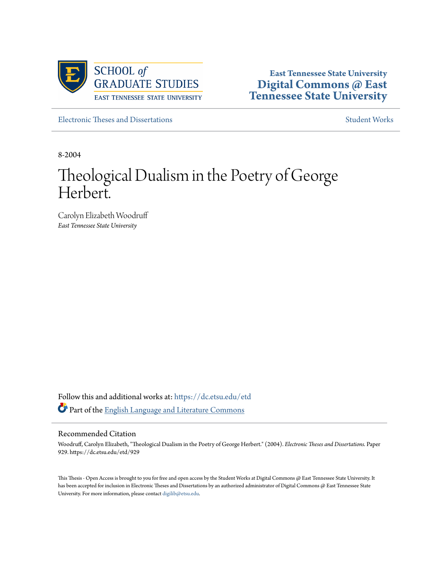

**East Tennessee State University [Digital Commons @ East](https://dc.etsu.edu?utm_source=dc.etsu.edu%2Fetd%2F929&utm_medium=PDF&utm_campaign=PDFCoverPages) [Tennessee State University](https://dc.etsu.edu?utm_source=dc.etsu.edu%2Fetd%2F929&utm_medium=PDF&utm_campaign=PDFCoverPages)**

[Electronic Theses and Dissertations](https://dc.etsu.edu/etd?utm_source=dc.etsu.edu%2Fetd%2F929&utm_medium=PDF&utm_campaign=PDFCoverPages) [Student Works](https://dc.etsu.edu/student-works?utm_source=dc.etsu.edu%2Fetd%2F929&utm_medium=PDF&utm_campaign=PDFCoverPages) Student Works Student Works

8-2004

# Theological Dualism in the Poetry of George Herbert.

Carolyn Elizabeth Woodruff *East Tennessee State University*

Follow this and additional works at: [https://dc.etsu.edu/etd](https://dc.etsu.edu/etd?utm_source=dc.etsu.edu%2Fetd%2F929&utm_medium=PDF&utm_campaign=PDFCoverPages) Part of the [English Language and Literature Commons](http://network.bepress.com/hgg/discipline/455?utm_source=dc.etsu.edu%2Fetd%2F929&utm_medium=PDF&utm_campaign=PDFCoverPages)

#### Recommended Citation

Woodruff, Carolyn Elizabeth, "Theological Dualism in the Poetry of George Herbert." (2004). *Electronic Theses and Dissertations.* Paper 929. https://dc.etsu.edu/etd/929

This Thesis - Open Access is brought to you for free and open access by the Student Works at Digital Commons @ East Tennessee State University. It has been accepted for inclusion in Electronic Theses and Dissertations by an authorized administrator of Digital Commons @ East Tennessee State University. For more information, please contact [digilib@etsu.edu.](mailto:digilib@etsu.edu)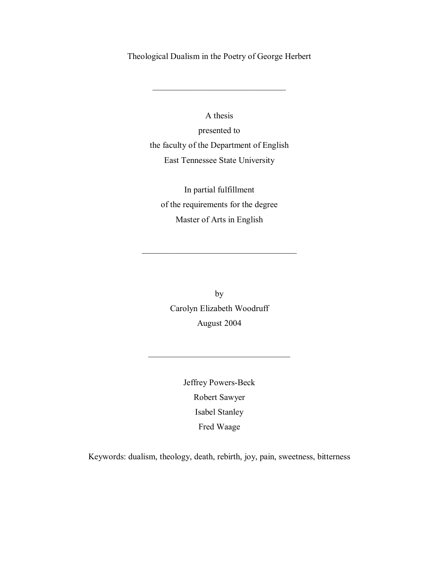Theological Dualism in the Poetry of George Herbert

 $\overline{\phantom{a}}$  , and the set of the set of the set of the set of the set of the set of the set of the set of the set of the set of the set of the set of the set of the set of the set of the set of the set of the set of the s

A thesis presented to the faculty of the Department of English East Tennessee State University

In partial fulfillment of the requirements for the degree Master of Arts in English

 $\mathcal{L}_\text{max}$  , and the set of the set of the set of the set of the set of the set of the set of the set of the set of the set of the set of the set of the set of the set of the set of the set of the set of the set of the

by Carolyn Elizabeth Woodruff August 2004

> Jeffrey Powers-Beck Robert Sawyer Isabel Stanley Fred Waage

\_\_\_\_\_\_\_\_\_\_\_\_\_\_\_\_\_\_\_\_\_\_\_\_\_\_\_\_\_\_\_\_\_

Keywords: dualism, theology, death, rebirth, joy, pain, sweetness, bitterness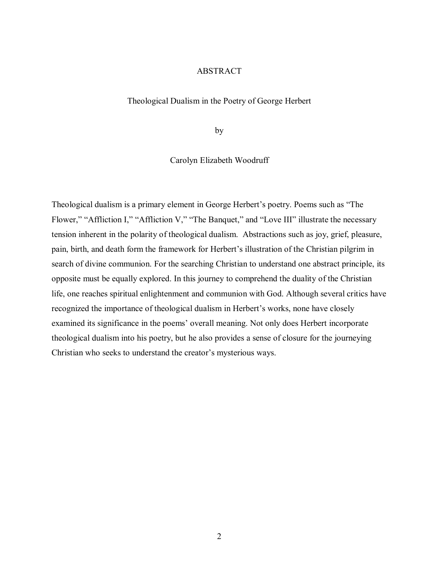## ABSTRACT

#### Theological Dualism in the Poetry of George Herbert

by

Carolyn Elizabeth Woodruff

Theological dualism is a primary element in George Herbert's poetry. Poems such as "The Flower," "Affliction I," "Affliction V," "The Banquet," and "Love III" illustrate the necessary tension inherent in the polarity of theological dualism. Abstractions such as joy, grief, pleasure, pain, birth, and death form the framework for Herbert's illustration of the Christian pilgrim in search of divine communion. For the searching Christian to understand one abstract principle, its opposite must be equally explored. In this journey to comprehend the duality of the Christian life, one reaches spiritual enlightenment and communion with God. Although several critics have recognized the importance of theological dualism in Herbert's works, none have closely examined its significance in the poems' overall meaning. Not only does Herbert incorporate theological dualism into his poetry, but he also provides a sense of closure for the journeying Christian who seeks to understand the creator's mysterious ways.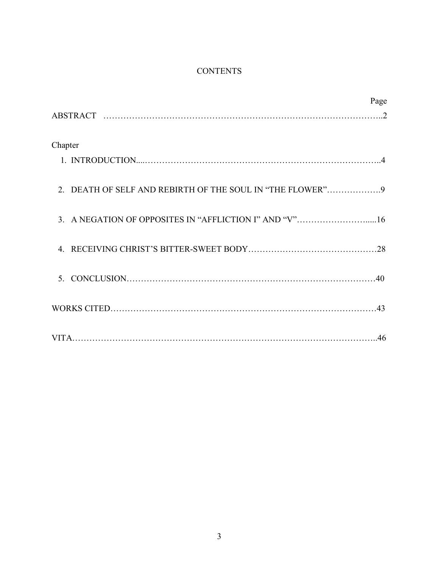## **CONTENTS**

|                                                           | Page |
|-----------------------------------------------------------|------|
|                                                           |      |
| Chapter                                                   |      |
|                                                           |      |
| 2. DEATH OF SELF AND REBIRTH OF THE SOUL IN "THE FLOWER"9 |      |
| 3. A NEGATION OF OPPOSITES IN "AFFLICTION I" AND "V"16    |      |
|                                                           |      |
| 5 <sup>1</sup>                                            |      |
|                                                           |      |
|                                                           |      |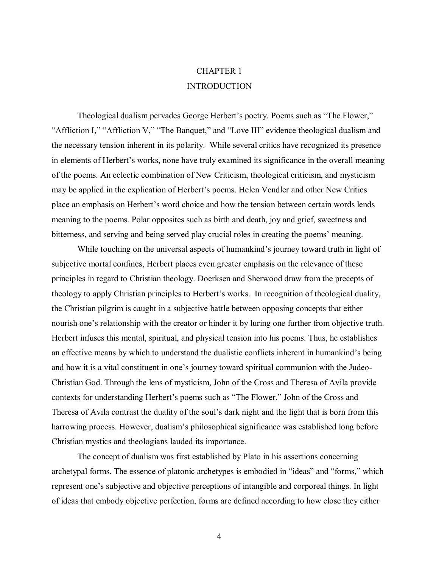# CHAPTER 1 INTRODUCTION

Theological dualism pervades George Herbert's poetry. Poems such as "The Flower," "Affliction I," "Affliction V," "The Banquet," and "Love III" evidence theological dualism and the necessary tension inherent in its polarity. While several critics have recognized its presence in elements of Herbert's works, none have truly examined its significance in the overall meaning of the poems. An eclectic combination of New Criticism, theological criticism, and mysticism may be applied in the explication of Herbert's poems. Helen Vendler and other New Critics place an emphasis on Herbert's word choice and how the tension between certain words lends meaning to the poems. Polar opposites such as birth and death, joy and grief, sweetness and bitterness, and serving and being served play crucial roles in creating the poems' meaning.

While touching on the universal aspects of humankind's journey toward truth in light of subjective mortal confines, Herbert places even greater emphasis on the relevance of these principles in regard to Christian theology. Doerksen and Sherwood draw from the precepts of theology to apply Christian principles to Herbert's works. In recognition of theological duality, the Christian pilgrim is caught in a subjective battle between opposing concepts that either nourish one's relationship with the creator or hinder it by luring one further from objective truth. Herbert infuses this mental, spiritual, and physical tension into his poems. Thus, he establishes an effective means by which to understand the dualistic conflicts inherent in humankind's being and how it is a vital constituent in one's journey toward spiritual communion with the Judeo-Christian God. Through the lens of mysticism, John of the Cross and Theresa of Avila provide contexts for understanding Herbert's poems such as "The Flower." John of the Cross and Theresa of Avila contrast the duality of the soul's dark night and the light that is born from this harrowing process. However, dualism's philosophical significance was established long before Christian mystics and theologians lauded its importance.

 The concept of dualism was first established by Plato in his assertions concerning archetypal forms. The essence of platonic archetypes is embodied in "ideas" and "forms," which represent one's subjective and objective perceptions of intangible and corporeal things. In light of ideas that embody objective perfection, forms are defined according to how close they either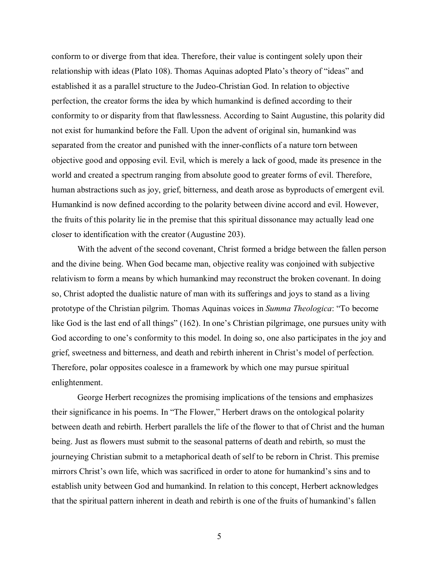conform to or diverge from that idea. Therefore, their value is contingent solely upon their relationship with ideas (Plato 108). Thomas Aquinas adopted Plato's theory of "ideas" and established it as a parallel structure to the Judeo-Christian God. In relation to objective perfection, the creator forms the idea by which humankind is defined according to their conformity to or disparity from that flawlessness. According to Saint Augustine, this polarity did not exist for humankind before the Fall. Upon the advent of original sin, humankind was separated from the creator and punished with the inner-conflicts of a nature torn between objective good and opposing evil. Evil, which is merely a lack of good, made its presence in the world and created a spectrum ranging from absolute good to greater forms of evil. Therefore, human abstractions such as joy, grief, bitterness, and death arose as byproducts of emergent evil. Humankind is now defined according to the polarity between divine accord and evil. However, the fruits of this polarity lie in the premise that this spiritual dissonance may actually lead one closer to identification with the creator (Augustine 203).

 With the advent of the second covenant, Christ formed a bridge between the fallen person and the divine being. When God became man, objective reality was conjoined with subjective relativism to form a means by which humankind may reconstruct the broken covenant. In doing so, Christ adopted the dualistic nature of man with its sufferings and joys to stand as a living prototype of the Christian pilgrim. Thomas Aquinas voices in *Summa Theologica*: "To become like God is the last end of all things" (162). In one's Christian pilgrimage, one pursues unity with God according to one's conformity to this model. In doing so, one also participates in the joy and grief, sweetness and bitterness, and death and rebirth inherent in Christ's model of perfection. Therefore, polar opposites coalesce in a framework by which one may pursue spiritual enlightenment.

 George Herbert recognizes the promising implications of the tensions and emphasizes their significance in his poems. In "The Flower," Herbert draws on the ontological polarity between death and rebirth. Herbert parallels the life of the flower to that of Christ and the human being. Just as flowers must submit to the seasonal patterns of death and rebirth, so must the journeying Christian submit to a metaphorical death of self to be reborn in Christ. This premise mirrors Christ's own life, which was sacrificed in order to atone for humankind's sins and to establish unity between God and humankind. In relation to this concept, Herbert acknowledges that the spiritual pattern inherent in death and rebirth is one of the fruits of humankind's fallen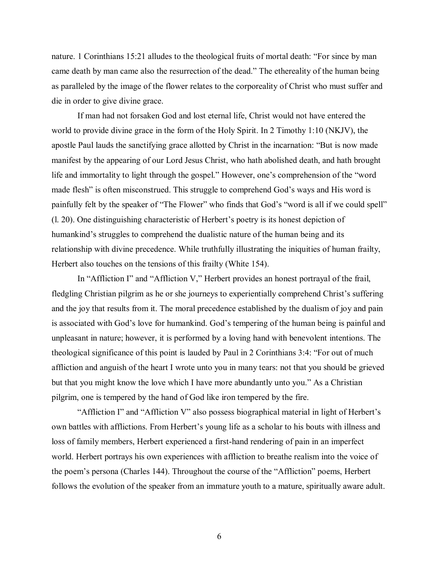nature. 1 Corinthians 15:21 alludes to the theological fruits of mortal death: "For since by man came death by man came also the resurrection of the dead." The ethereality of the human being as paralleled by the image of the flower relates to the corporeality of Christ who must suffer and die in order to give divine grace.

 If man had not forsaken God and lost eternal life, Christ would not have entered the world to provide divine grace in the form of the Holy Spirit. In 2 Timothy 1:10 (NKJV), the apostle Paul lauds the sanctifying grace allotted by Christ in the incarnation: "But is now made manifest by the appearing of our Lord Jesus Christ, who hath abolished death, and hath brought life and immortality to light through the gospel." However, one's comprehension of the "word made flesh" is often misconstrued. This struggle to comprehend God's ways and His word is painfully felt by the speaker of "The Flower" who finds that God's "word is all if we could spell"  $(1, 20)$ . One distinguishing characteristic of Herbert's poetry is its honest depiction of humankind's struggles to comprehend the dualistic nature of the human being and its relationship with divine precedence. While truthfully illustrating the iniquities of human frailty, Herbert also touches on the tensions of this frailty (White 154).

In "Affliction I" and "Affliction V," Herbert provides an honest portrayal of the frail, fledgling Christian pilgrim as he or she journeys to experientially comprehend Christ's suffering and the joy that results from it. The moral precedence established by the dualism of joy and pain is associated with God's love for humankind. God's tempering of the human being is painful and unpleasant in nature; however, it is performed by a loving hand with benevolent intentions. The theological significance of this point is lauded by Paul in 2 Corinthians  $3:4$ : "For out of much affliction and anguish of the heart I wrote unto you in many tears: not that you should be grieved but that you might know the love which I have more abundantly unto you." As a Christian pilgrim, one is tempered by the hand of God like iron tempered by the fire.

"Affliction I" and "Affliction V" also possess biographical material in light of Herbert's own battles with afflictions. From Herbert's young life as a scholar to his bouts with illness and loss of family members, Herbert experienced a first-hand rendering of pain in an imperfect world. Herbert portrays his own experiences with affliction to breathe realism into the voice of the poem's persona (Charles 144). Throughout the course of the "Affliction" poems, Herbert follows the evolution of the speaker from an immature youth to a mature, spiritually aware adult.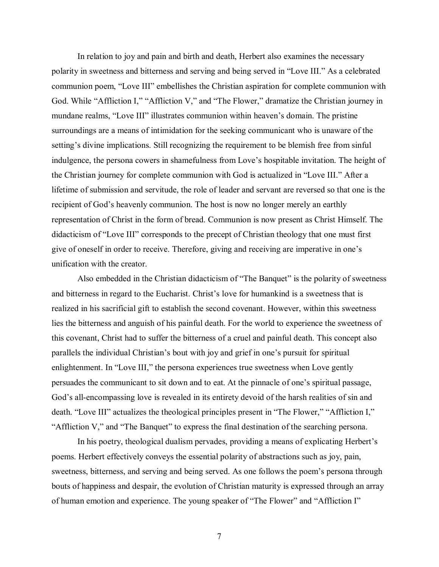In relation to joy and pain and birth and death, Herbert also examines the necessary polarity in sweetness and bitterness and serving and being served in "Love III." As a celebrated communion poem, "Love III" embellishes the Christian aspiration for complete communion with God. While "Affliction I," "Affliction V," and "The Flower," dramatize the Christian journey in mundane realms, "Love III" illustrates communion within heaven's domain. The pristine surroundings are a means of intimidation for the seeking communicant who is unaware of the setting's divine implications. Still recognizing the requirement to be blemish free from sinful indulgence, the persona cowers in shamefulness from Love's hospitable invitation. The height of the Christian journey for complete communion with God is actualized in "Love III." After a lifetime of submission and servitude, the role of leader and servant are reversed so that one is the recipient of God's heavenly communion. The host is now no longer merely an earthly representation of Christ in the form of bread. Communion is now present as Christ Himself. The didacticism of "Love III" corresponds to the precept of Christian theology that one must first give of oneself in order to receive. Therefore, giving and receiving are imperative in one's unification with the creator.

Also embedded in the Christian didacticism of "The Banquet" is the polarity of sweetness and bitterness in regard to the Eucharist. Christ's love for humankind is a sweetness that is realized in his sacrificial gift to establish the second covenant. However, within this sweetness lies the bitterness and anguish of his painful death. For the world to experience the sweetness of this covenant, Christ had to suffer the bitterness of a cruel and painful death. This concept also parallels the individual Christian's bout with joy and grief in one's pursuit for spiritual enlightenment. In "Love III," the persona experiences true sweetness when Love gently persuades the communicant to sit down and to eat. At the pinnacle of one's spiritual passage, God's all-encompassing love is revealed in its entirety devoid of the harsh realities of sin and death. "Love III" actualizes the theological principles present in "The Flower," "Affliction I," "Affliction V," and "The Banquet" to express the final destination of the searching persona.

In his poetry, theological dualism pervades, providing a means of explicating Herbert's poems. Herbert effectively conveys the essential polarity of abstractions such as joy, pain, sweetness, bitterness, and serving and being served. As one follows the poem's persona through bouts of happiness and despair, the evolution of Christian maturity is expressed through an array of human emotion and experience. The young speaker of "The Flower" and "Affliction I"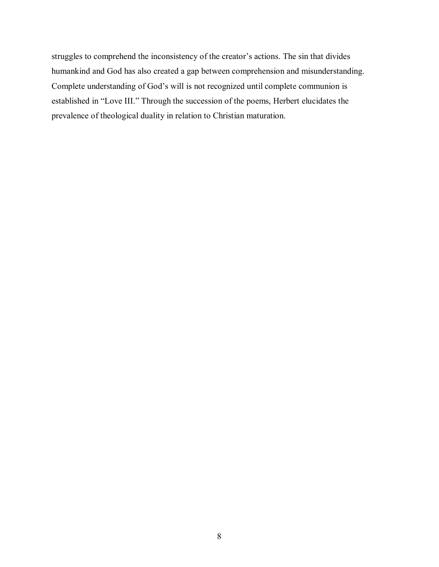struggles to comprehend the inconsistency of the creator's actions. The sin that divides humankind and God has also created a gap between comprehension and misunderstanding. Complete understanding of God's will is not recognized until complete communion is established in "Love III." Through the succession of the poems, Herbert elucidates the prevalence of theological duality in relation to Christian maturation.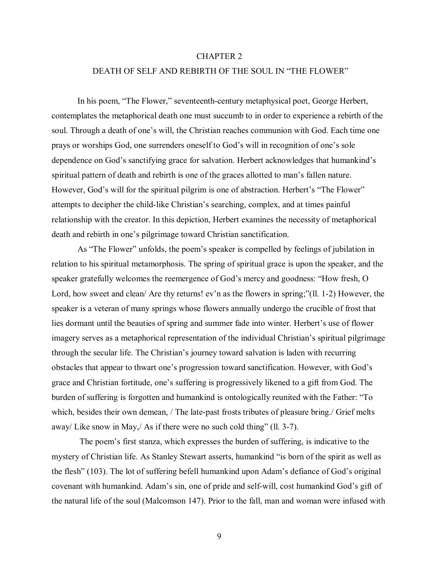## CHAPTER 2

## DEATH OF SELF AND REBIRTH OF THE SOUL IN "THE FLOWER"

In his poem, "The Flower," seventeenth-century metaphysical poet, George Herbert, contemplates the metaphorical death one must succumb to in order to experience a rebirth of the soul. Through a death of one's will, the Christian reaches communion with God. Each time one prays or worships God, one surrenders oneself to God's will in recognition of one's sole dependence on God's sanctifying grace for salvation. Herbert acknowledges that humankind's spiritual pattern of death and rebirth is one of the graces allotted to man's fallen nature. However, God's will for the spiritual pilgrim is one of abstraction. Herbert's "The Flower" attempts to decipher the child-like Christian's searching, complex, and at times painful relationship with the creator. In this depiction, Herbert examines the necessity of metaphorical death and rebirth in one's pilgrimage toward Christian sanctification.

As "The Flower" unfolds, the poem's speaker is compelled by feelings of jubilation in relation to his spiritual metamorphosis. The spring of spiritual grace is upon the speaker, and the speaker gratefully welcomes the reemergence of God's mercy and goodness: "How fresh, O Lord, how sweet and clean/ Are thy returns!  $ev$ 'n as the flowers in spring;"(11. 1-2) However, the speaker is a veteran of many springs whose flowers annually undergo the crucible of frost that lies dormant until the beauties of spring and summer fade into winter. Herbert's use of flower imagery serves as a metaphorical representation of the individual Christian's spiritual pilgrimage through the secular life. The Christian's journey toward salvation is laden with recurring obstacles that appear to thwart one's progression toward sanctification. However, with God's grace and Christian fortitude, one's suffering is progressively likened to a gift from God. The burden of suffering is forgotten and humankind is ontologically reunited with the Father: "To which, besides their own demean, / The late-past frosts tributes of pleasure bring./ Grief melts away/ Like snow in May,  $\sqrt{A}$ s if there were no such cold thing" (ll. 3-7).

 The poemís first stanza, which expresses the burden of suffering, is indicative to the mystery of Christian life. As Stanley Stewart asserts, humankind "is born of the spirit as well as the flesh" (103). The lot of suffering befell humankind upon Adam's defiance of God's original covenant with humankind. Adam's sin, one of pride and self-will, cost humankind God's gift of the natural life of the soul (Malcomson 147). Prior to the fall, man and woman were infused with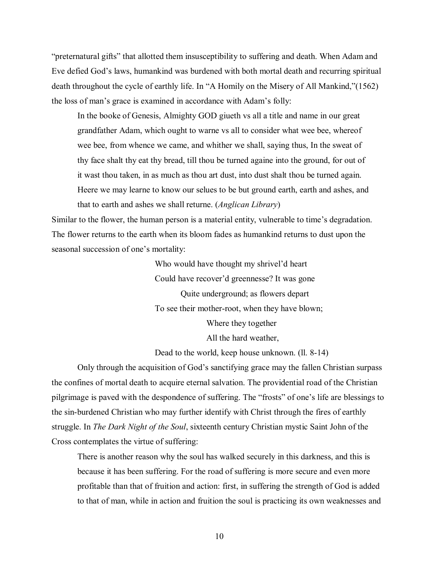ìpreternatural giftsî that allotted them insusceptibility to suffering and death. When Adam and Eve defied God's laws, humankind was burdened with both mortal death and recurring spiritual death throughout the cycle of earthly life. In "A Homily on the Misery of All Mankind,"(1562) the loss of man's grace is examined in accordance with Adam's folly:

 In the booke of Genesis, Almighty GOD giueth vs all a title and name in our great grandfather Adam, which ought to warne vs all to consider what wee bee, whereof wee bee, from whence we came, and whither we shall, saying thus, In the sweat of thy face shalt thy eat thy bread, till thou be turned againe into the ground, for out of it wast thou taken, in as much as thou art dust, into dust shalt thou be turned again. Heere we may learne to know our selues to be but ground earth, earth and ashes, and that to earth and ashes we shall returne. (*Anglican Library*)

Similar to the flower, the human person is a material entity, vulnerable to time's degradation. The flower returns to the earth when its bloom fades as humankind returns to dust upon the seasonal succession of one's mortality:

> Who would have thought my shrivel'd heart Could have recover'd greennesse? It was gone Quite underground; as flowers depart To see their mother-root, when they have blown; Where they together All the hard weather,

Dead to the world, keep house unknown. (ll. 8-14)

Only through the acquisition of God's sanctifying grace may the fallen Christian surpass the confines of mortal death to acquire eternal salvation. The providential road of the Christian pilgrimage is paved with the despondence of suffering. The "frosts" of one's life are blessings to the sin-burdened Christian who may further identify with Christ through the fires of earthly struggle. In *The Dark Night of the Soul*, sixteenth century Christian mystic Saint John of the Cross contemplates the virtue of suffering:

 There is another reason why the soul has walked securely in this darkness, and this is because it has been suffering. For the road of suffering is more secure and even more profitable than that of fruition and action: first, in suffering the strength of God is added to that of man, while in action and fruition the soul is practicing its own weaknesses and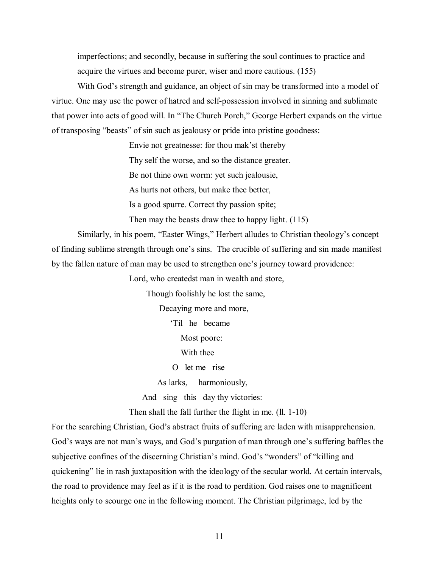imperfections; and secondly, because in suffering the soul continues to practice and acquire the virtues and become purer, wiser and more cautious. (155)

With God's strength and guidance, an object of sin may be transformed into a model of virtue. One may use the power of hatred and self-possession involved in sinning and sublimate that power into acts of good will. In "The Church Porch," George Herbert expands on the virtue of transposing "beasts" of sin such as jealousy or pride into pristine goodness:

Envie not greatnesse: for thou mak'st thereby

Thy self the worse, and so the distance greater.

Be not thine own worm: yet such jealousie,

As hurts not others, but make thee better,

Is a good spurre. Correct thy passion spite;

Then may the beasts draw thee to happy light. (115)

Similarly, in his poem, "Easter Wings," Herbert alludes to Christian theology's concept of finding sublime strength through one's sins. The crucible of suffering and sin made manifest by the fallen nature of man may be used to strengthen one's journey toward providence:

Lord, who createdst man in wealth and store,

Though foolishly he lost the same,

Decaying more and more,

Til he became

Most poore:

With thee

O let me rise

As larks, harmoniously,

And sing this day thy victories:

Then shall the fall further the flight in me. (ll. 1-10)

For the searching Christian, God's abstract fruits of suffering are laden with misapprehension. God's ways are not man's ways, and God's purgation of man through one's suffering baffles the subjective confines of the discerning Christian's mind. God's "wonders" of "killing and quickening" lie in rash juxtaposition with the ideology of the secular world. At certain intervals, the road to providence may feel as if it is the road to perdition. God raises one to magnificent heights only to scourge one in the following moment. The Christian pilgrimage, led by the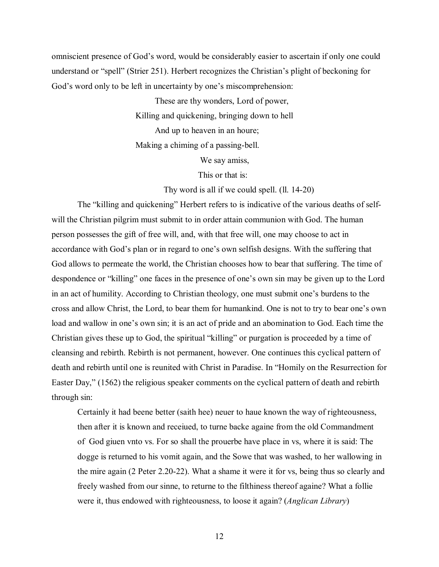omniscient presence of Godís word, would be considerably easier to ascertain if only one could understand or "spell" (Strier 251). Herbert recognizes the Christian's plight of beckoning for God's word only to be left in uncertainty by one's miscomprehension:

> These are thy wonders, Lord of power, Killing and quickening, bringing down to hell And up to heaven in an houre; Making a chiming of a passing-bell.

> > We say amiss,

This or that is:

Thy word is all if we could spell. (ll. 14-20)

The "killing and quickening" Herbert refers to is indicative of the various deaths of selfwill the Christian pilgrim must submit to in order attain communion with God. The human person possesses the gift of free will, and, with that free will, one may choose to act in accordance with God's plan or in regard to one's own selfish designs. With the suffering that God allows to permeate the world, the Christian chooses how to bear that suffering. The time of despondence or "killing" one faces in the presence of one's own sin may be given up to the Lord in an act of humility. According to Christian theology, one must submit one's burdens to the cross and allow Christ, the Lord, to bear them for humankind. One is not to try to bear one's own load and wallow in one's own sin; it is an act of pride and an abomination to God. Each time the Christian gives these up to God, the spiritual "killing" or purgation is proceeded by a time of cleansing and rebirth. Rebirth is not permanent, however. One continues this cyclical pattern of death and rebirth until one is reunited with Christ in Paradise. In "Homily on the Resurrection for Easter Day," (1562) the religious speaker comments on the cyclical pattern of death and rebirth through sin:

Certainly it had beene better (saith hee) neuer to haue known the way of righteousness, then after it is known and receiued, to turne backe againe from the old Commandment of God giuen vnto vs. For so shall the prouerbe have place in vs, where it is said: The dogge is returned to his vomit again, and the Sowe that was washed, to her wallowing in the mire again (2 Peter 2.20-22). What a shame it were it for vs, being thus so clearly and freely washed from our sinne, to returne to the filthiness thereof againe? What a follie were it, thus endowed with righteousness, to loose it again? (*Anglican Library*)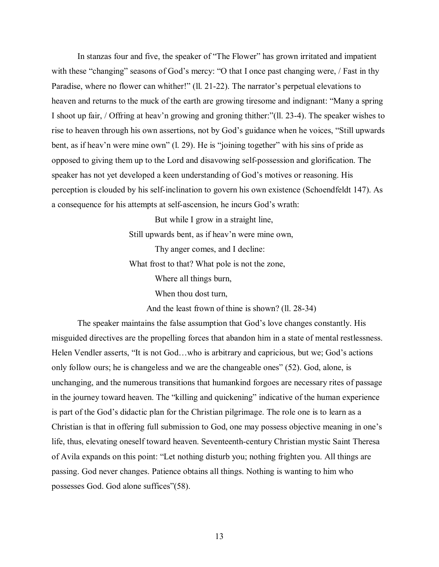In stanzas four and five, the speaker of "The Flower" has grown irritated and impatient with these "changing" seasons of God's mercy: "O that I once past changing were, / Fast in thy Paradise, where no flower can whither!" (ll. 21-22). The narrator's perpetual elevations to heaven and returns to the muck of the earth are growing tiresome and indignant: "Many a spring I shoot up fair, / Offring at heav'n growing and groning thither:"(II, 23-4). The speaker wishes to rise to heaven through his own assertions, not by God's guidance when he voices, "Still upwards" bent, as if heav'n were mine own"  $(1, 29)$ . He is "joining together" with his sins of pride as opposed to giving them up to the Lord and disavowing self-possession and glorification. The speaker has not yet developed a keen understanding of God's motives or reasoning. His perception is clouded by his self-inclination to govern his own existence (Schoendfeldt 147). As a consequence for his attempts at self-ascension, he incurs God's wrath:

> But while I grow in a straight line, Still upwards bent, as if heav'n were mine own, Thy anger comes, and I decline: What frost to that? What pole is not the zone, Where all things burn, When thou dost turn,

> > And the least frown of thine is shown? (ll. 28-34)

The speaker maintains the false assumption that God's love changes constantly. His misguided directives are the propelling forces that abandon him in a state of mental restlessness. Helen Vendler asserts, "It is not God...who is arbitrary and capricious, but we; God's actions only follow ours; he is changeless and we are the changeable ones"  $(52)$ . God, alone, is unchanging, and the numerous transitions that humankind forgoes are necessary rites of passage in the journey toward heaven. The "killing and quickening" indicative of the human experience is part of the God's didactic plan for the Christian pilgrimage. The role one is to learn as a Christian is that in offering full submission to God, one may possess objective meaning in one's life, thus, elevating oneself toward heaven. Seventeenth-century Christian mystic Saint Theresa of Avila expands on this point: "Let nothing disturb you; nothing frighten you. All things are passing. God never changes. Patience obtains all things. Nothing is wanting to him who possesses God. God alone suffices"(58).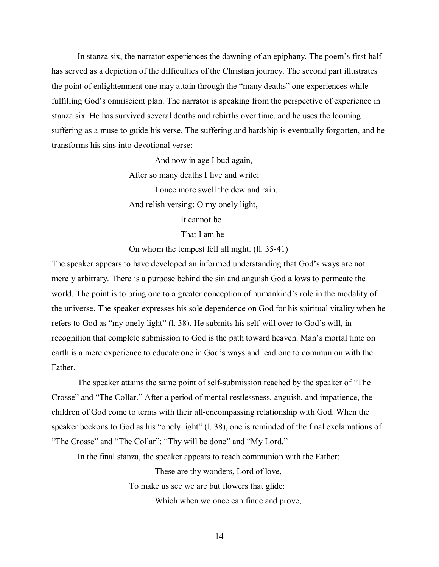In stanza six, the narrator experiences the dawning of an epiphany. The poem's first half has served as a depiction of the difficulties of the Christian journey. The second part illustrates the point of enlightenment one may attain through the "many deaths" one experiences while fulfilling God's omniscient plan. The narrator is speaking from the perspective of experience in stanza six. He has survived several deaths and rebirths over time, and he uses the looming suffering as a muse to guide his verse. The suffering and hardship is eventually forgotten, and he transforms his sins into devotional verse:

> And now in age I bud again, After so many deaths I live and write; I once more swell the dew and rain. And relish versing: O my onely light, It cannot be

> > That I am he

On whom the tempest fell all night. (ll. 35-41)

The speaker appears to have developed an informed understanding that God's ways are not merely arbitrary. There is a purpose behind the sin and anguish God allows to permeate the world. The point is to bring one to a greater conception of humankind's role in the modality of the universe. The speaker expresses his sole dependence on God for his spiritual vitality when he refers to God as "my onely light" (l. 38). He submits his self-will over to God's will, in recognition that complete submission to God is the path toward heaven. Man's mortal time on earth is a mere experience to educate one in God's ways and lead one to communion with the Father.

The speaker attains the same point of self-submission reached by the speaker of "The Crosse" and "The Collar." After a period of mental restlessness, anguish, and impatience, the children of God come to terms with their all-encompassing relationship with God. When the speaker beckons to God as his "onely light" (l. 38), one is reminded of the final exclamations of "The Crosse" and "The Collar": "Thy will be done" and "My Lord."

In the final stanza, the speaker appears to reach communion with the Father:

These are thy wonders, Lord of love, To make us see we are but flowers that glide: Which when we once can finde and prove,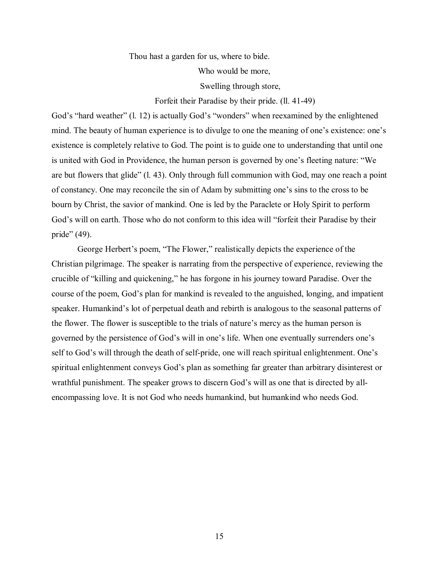Thou hast a garden for us, where to bide.

Who would be more,

Swelling through store,

Forfeit their Paradise by their pride. (ll. 41-49)

God's "hard weather" (l. 12) is actually God's "wonders" when reexamined by the enlightened mind. The beauty of human experience is to divulge to one the meaning of one's existence: one's existence is completely relative to God. The point is to guide one to understanding that until one is united with God in Providence, the human person is governed by one's fleeting nature: "We are but flowers that glide" (l. 43). Only through full communion with God, may one reach a point of constancy. One may reconcile the sin of Adam by submitting one's sins to the cross to be bourn by Christ, the savior of mankind. One is led by the Paraclete or Holy Spirit to perform God's will on earth. Those who do not conform to this idea will "forfeit their Paradise by their pride"  $(49)$ .

George Herbert's poem, "The Flower," realistically depicts the experience of the Christian pilgrimage. The speaker is narrating from the perspective of experience, reviewing the crucible of "killing and quickening," he has forgone in his journey toward Paradise. Over the course of the poem, God's plan for mankind is revealed to the anguished, longing, and impatient speaker. Humankind's lot of perpetual death and rebirth is analogous to the seasonal patterns of the flower. The flower is susceptible to the trials of nature's mercy as the human person is governed by the persistence of God's will in one's life. When one eventually surrenders one's self to God's will through the death of self-pride, one will reach spiritual enlightenment. One's spiritual enlightenment conveys God's plan as something far greater than arbitrary disinterest or wrathful punishment. The speaker grows to discern God's will as one that is directed by allencompassing love. It is not God who needs humankind, but humankind who needs God.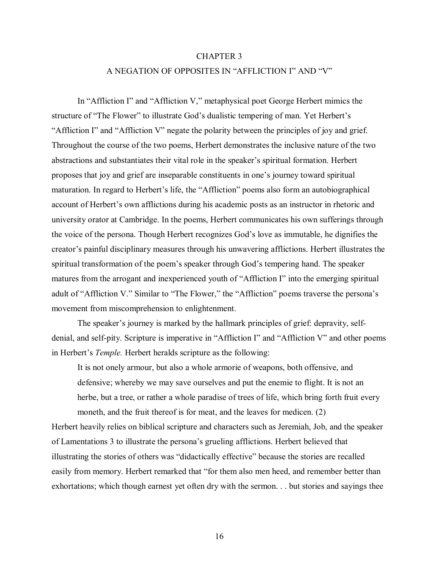## CHAPTER 3

## A NEGATION OF OPPOSITES IN "AFFLICTION I" AND "V"

In "Affliction I" and "Affliction V," metaphysical poet George Herbert mimics the structure of "The Flower" to illustrate God's dualistic tempering of man. Yet Herbert's "Affliction I" and "Affliction V" negate the polarity between the principles of joy and grief. Throughout the course of the two poems, Herbert demonstrates the inclusive nature of the two abstractions and substantiates their vital role in the speaker's spiritual formation. Herbert proposes that joy and grief are inseparable constituents in one's journey toward spiritual maturation. In regard to Herbert's life, the "Affliction" poems also form an autobiographical account of Herbert's own afflictions during his academic posts as an instructor in rhetoric and university orator at Cambridge. In the poems, Herbert communicates his own sufferings through the voice of the persona. Though Herbert recognizes God's love as immutable, he dignifies the creator's painful disciplinary measures through his unwavering afflictions. Herbert illustrates the spiritual transformation of the poem's speaker through God's tempering hand. The speaker matures from the arrogant and inexperienced youth of "Affliction I" into the emerging spiritual adult of "Affliction V." Similar to "The Flower," the "Affliction" poems traverse the persona's movement from miscomprehension to enlightenment.

The speaker's journey is marked by the hallmark principles of grief: depravity, selfdenial, and self-pity. Scripture is imperative in "Affliction I" and "Affliction V" and other poems in Herbert's *Temple*. Herbert heralds scripture as the following:

 It is not onely armour, but also a whole armorie of weapons, both offensive, and defensive; whereby we may save ourselves and put the enemie to flight. It is not an herbe, but a tree, or rather a whole paradise of trees of life, which bring forth fruit every moneth, and the fruit thereof is for meat, and the leaves for medicen. (2)

Herbert heavily relies on biblical scripture and characters such as Jeremiah, Job, and the speaker of Lamentations 3 to illustrate the persona's grueling afflictions. Herbert believed that illustrating the stories of others was "didactically effective" because the stories are recalled easily from memory. Herbert remarked that "for them also men heed, and remember better than exhortations; which though earnest yet often dry with the sermon. . . but stories and sayings thee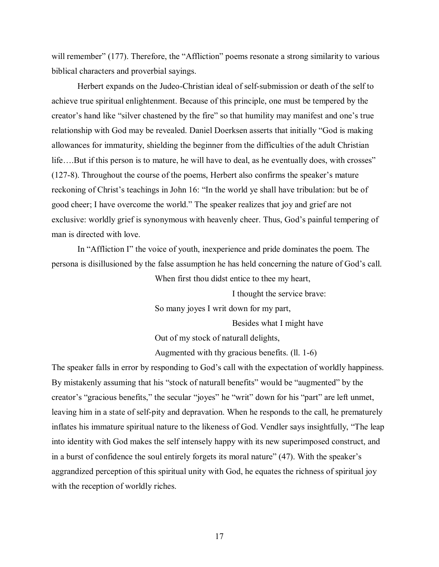will remember" (177). Therefore, the "Affliction" poems resonate a strong similarity to various biblical characters and proverbial sayings.

 Herbert expands on the Judeo-Christian ideal of self-submission or death of the self to achieve true spiritual enlightenment. Because of this principle, one must be tempered by the creator's hand like "silver chastened by the fire" so that humility may manifest and one's true relationship with God may be revealed. Daniel Doerksen asserts that initially "God is making allowances for immaturity, shielding the beginner from the difficulties of the adult Christian life....But if this person is to mature, he will have to deal, as he eventually does, with crosses"  $(127-8)$ . Throughout the course of the poems, Herbert also confirms the speaker's mature reckoning of Christ's teachings in John 16: "In the world ye shall have tribulation: but be of good cheer; I have overcome the world." The speaker realizes that joy and grief are not exclusive: worldly grief is synonymous with heavenly cheer. Thus, God's painful tempering of man is directed with love.

In "Affliction I" the voice of youth, inexperience and pride dominates the poem. The persona is disillusioned by the false assumption he has held concerning the nature of God's call.

When first thou didst entice to thee my heart,

I thought the service brave:

So many joyes I writ down for my part,

Besides what I might have

Out of my stock of naturall delights,

Augmented with thy gracious benefits. (ll. 1-6)

The speaker falls in error by responding to God's call with the expectation of worldly happiness. By mistakenly assuming that his "stock of naturall benefits" would be "augmented" by the creator's "gracious benefits," the secular "joyes" he "writ" down for his "part" are left unmet, leaving him in a state of self-pity and depravation. When he responds to the call, he prematurely inflates his immature spiritual nature to the likeness of God. Vendler says insightfully, "The leap into identity with God makes the self intensely happy with its new superimposed construct, and in a burst of confidence the soul entirely forgets its moral nature"  $(47)$ . With the speaker's aggrandized perception of this spiritual unity with God, he equates the richness of spiritual joy with the reception of worldly riches.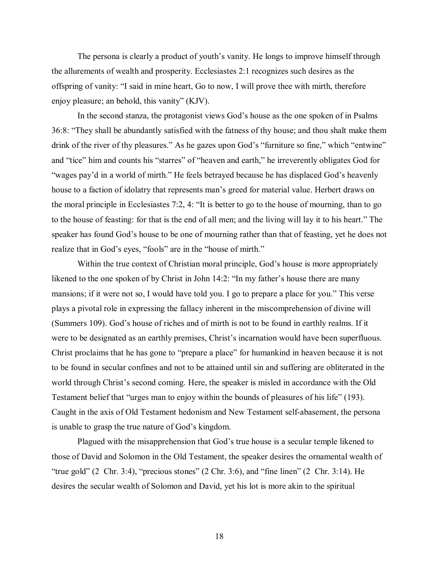The persona is clearly a product of youth's vanity. He longs to improve himself through the allurements of wealth and prosperity. Ecclesiastes 2:1 recognizes such desires as the offspring of vanity: "I said in mine heart, Go to now, I will prove thee with mirth, therefore enjoy pleasure; an behold, this vanity" (KJV).

In the second stanza, the protagonist views God's house as the one spoken of in Psalms 36:8: "They shall be abundantly satisfied with the fatness of thy house; and thou shalt make them drink of the river of thy pleasures." As he gazes upon God's "furniture so fine," which "entwine" and "tice" him and counts his "starres" of "heaven and earth," he irreverently obligates God for "wages pay'd in a world of mirth." He feels betrayed because he has displaced God's heavenly house to a faction of idolatry that represents man's greed for material value. Herbert draws on the moral principle in Ecclesiastes 7:2, 4: "It is better to go to the house of mourning, than to go to the house of feasting: for that is the end of all men; and the living will lay it to his heart." The speaker has found God's house to be one of mourning rather than that of feasting, yet he does not realize that in God's eyes, "fools" are in the "house of mirth."

Within the true context of Christian moral principle, God's house is more appropriately likened to the one spoken of by Christ in John  $14:2$ : "In my father's house there are many mansions; if it were not so, I would have told you. I go to prepare a place for you." This verse plays a pivotal role in expressing the fallacy inherent in the miscomprehension of divine will (Summers 109). God's house of riches and of mirth is not to be found in earthly realms. If it were to be designated as an earthly premises, Christ's incarnation would have been superfluous. Christ proclaims that he has gone to "prepare a place" for humankind in heaven because it is not to be found in secular confines and not to be attained until sin and suffering are obliterated in the world through Christ's second coming. Here, the speaker is misled in accordance with the Old Testament belief that "urges man to enjoy within the bounds of pleasures of his life" (193). Caught in the axis of Old Testament hedonism and New Testament self-abasement, the persona is unable to grasp the true nature of God's kingdom.

Plagued with the misapprehension that God's true house is a secular temple likened to those of David and Solomon in the Old Testament, the speaker desires the ornamental wealth of "true gold"  $(2 \text{ Chr. } 3:4)$ , "precious stones"  $(2 \text{ Chr. } 3:6)$ , and "fine linen"  $(2 \text{ Chr. } 3:14)$ . He desires the secular wealth of Solomon and David, yet his lot is more akin to the spiritual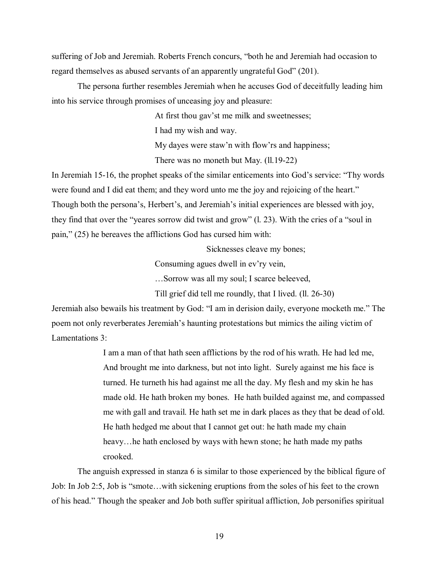suffering of Job and Jeremiah. Roberts French concurs, "both he and Jeremiah had occasion to regard themselves as abused servants of an apparently ungrateful God" (201).

 The persona further resembles Jeremiah when he accuses God of deceitfully leading him into his service through promises of unceasing joy and pleasure:

At first thou gav'st me milk and sweetnesses;

I had my wish and way.

My dayes were staw'n with flow'rs and happiness;

There was no moneth but May. (ll.19-22)

In Jeremiah 15-16, the prophet speaks of the similar enticements into God's service: "Thy words were found and I did eat them; and they word unto me the joy and rejoicing of the heart." Though both the persona's, Herbert's, and Jeremiah's initial experiences are blessed with joy, they find that over the "yeares sorrow did twist and grow"  $(1, 23)$ . With the cries of a "soul in pain,"  $(25)$  he bereaves the afflictions God has cursed him with:

Sicknesses cleave my bones;

Consuming agues dwell in ev'ry vein,

...Sorrow was all my soul; I scarce beleeved,

Till grief did tell me roundly, that I lived. (ll. 26-30)

Jeremiah also bewails his treatment by God: "I am in derision daily, everyone mocketh me." The poem not only reverberates Jeremiah's haunting protestations but mimics the ailing victim of Lamentations 3:

> I am a man of that hath seen afflictions by the rod of his wrath. He had led me, And brought me into darkness, but not into light. Surely against me his face is turned. He turneth his had against me all the day. My flesh and my skin he has made old. He hath broken my bones. He hath builded against me, and compassed me with gall and travail. He hath set me in dark places as they that be dead of old. He hath hedged me about that I cannot get out: he hath made my chain heavy...he hath enclosed by ways with hewn stone; he hath made my paths crooked.

 The anguish expressed in stanza 6 is similar to those experienced by the biblical figure of Job: In Job 2:5, Job is "smote...with sickening eruptions from the soles of his feet to the crown of his head.î Though the speaker and Job both suffer spiritual affliction, Job personifies spiritual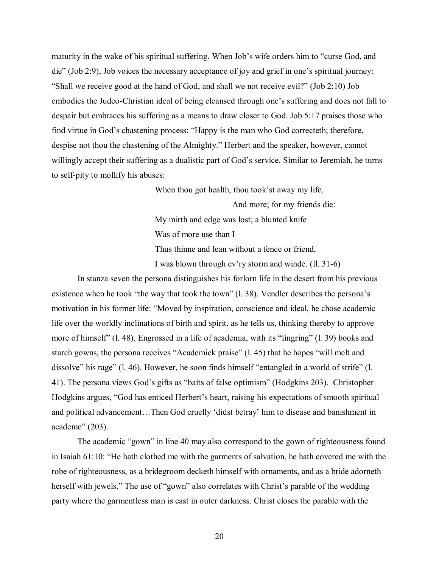maturity in the wake of his spiritual suffering. When Job's wife orders him to "curse God, and die" (Job 2:9), Job voices the necessary acceptance of joy and grief in one's spiritual journey: "Shall we receive good at the hand of God, and shall we not receive evil?" (Job 2:10) Job embodies the Judeo-Christian ideal of being cleansed through one's suffering and does not fall to despair but embraces his suffering as a means to draw closer to God. Job 5:17 praises those who find virtue in God's chastening process: "Happy is the man who God correcteth; therefore, despise not thou the chastening of the Almighty." Herbert and the speaker, however, cannot willingly accept their suffering as a dualistic part of God's service. Similar to Jeremiah, he turns to self-pity to mollify his abuses:

> When thou got health, thou took's away my life, And more; for my friends die: My mirth and edge was lost; a blunted knife Was of more use than I Thus thinne and lean without a fence or friend,

I was blown through ev'ry storm and winde. (1. 31-6)

 In stanza seven the persona distinguishes his forlorn life in the desert from his previous existence when he took "the way that took the town"  $(1, 38)$ . Vendler describes the persona's motivation in his former life: "Moved by inspiration, conscience and ideal, he chose academic life over the worldly inclinations of birth and spirit, as he tells us, thinking thereby to approve more of himself" (l. 48). Engrossed in a life of academia, with its "lingring" (l. 39) books and starch gowns, the persona receives "Academick praise"  $(l. 45)$  that he hopes "will melt and dissolve" his rage" (l. 46). However, he soon finds himself "entangled in a world of strife" (l. 41). The persona views God's gifts as "baits of false optimism" (Hodgkins 203). Christopher Hodgkins argues, "God has enticed Herbert's heart, raising his expectations of smooth spiritual and political advancement...Then God cruelly 'didst betray' him to disease and banishment in academe $^{\prime\prime}$  (203).

The academic "gown" in line 40 may also correspond to the gown of righteousness found in Isaiah 61:10: "He hath clothed me with the garments of salvation, he hath covered me with the robe of righteousness, as a bridegroom decketh himself with ornaments, and as a bride adorneth herself with jewels." The use of "gown" also correlates with Christ's parable of the wedding party where the garmentless man is cast in outer darkness. Christ closes the parable with the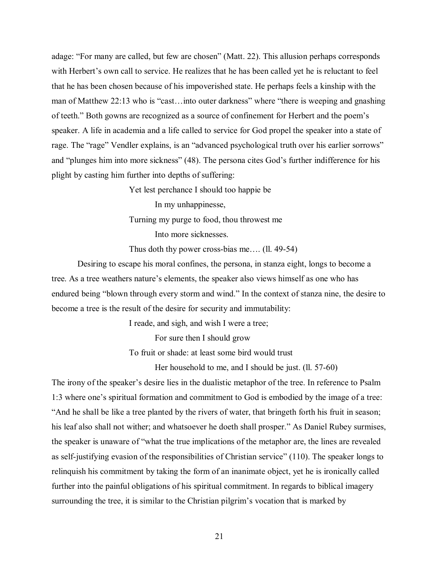adage: "For many are called, but few are chosen" (Matt. 22). This allusion perhaps corresponds with Herbert's own call to service. He realizes that he has been called yet he is reluctant to feel that he has been chosen because of his impoverished state. He perhaps feels a kinship with the man of Matthew 22:13 who is "cast... into outer darkness" where "there is weeping and gnashing of teeth.î Both gowns are recognized as a source of confinement for Herbert and the poemís speaker. A life in academia and a life called to service for God propel the speaker into a state of rage. The "rage" Vendler explains, is an "advanced psychological truth over his earlier sorrows" and "plunges him into more sickness" (48). The persona cites God's further indifference for his plight by casting him further into depths of suffering:

> Yet lest perchance I should too happie be In my unhappinesse, Turning my purge to food, thou throwest me Into more sicknesses.

Thus doth thy power cross-bias me.... (ll. 49-54)

 Desiring to escape his moral confines, the persona, in stanza eight, longs to become a tree. As a tree weathers nature's elements, the speaker also views himself as one who has endured being "blown through every storm and wind." In the context of stanza nine, the desire to become a tree is the result of the desire for security and immutability:

I reade, and sigh, and wish I were a tree;

For sure then I should grow

To fruit or shade: at least some bird would trust

Her household to me, and I should be just. (ll. 57-60)

The irony of the speaker's desire lies in the dualistic metaphor of the tree. In reference to Psalm 1:3 where one's spiritual formation and commitment to God is embodied by the image of a tree: And he shall be like a tree planted by the rivers of water, that bringeth forth his fruit in season; his leaf also shall not wither; and whatsoever he doeth shall prosper." As Daniel Rubey surmises, the speaker is unaware of "what the true implications of the metaphor are, the lines are revealed as self-justifying evasion of the responsibilities of Christian service" (110). The speaker longs to relinquish his commitment by taking the form of an inanimate object, yet he is ironically called further into the painful obligations of his spiritual commitment. In regards to biblical imagery surrounding the tree, it is similar to the Christian pilgrim's vocation that is marked by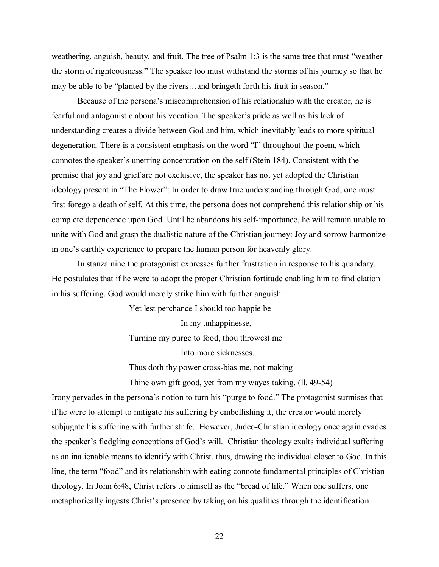weathering, anguish, beauty, and fruit. The tree of Psalm  $1:3$  is the same tree that must "weather" the storm of righteousness." The speaker too must withstand the storms of his journey so that he may be able to be "planted by the rivers...and bringeth forth his fruit in season."

Because of the persona's miscomprehension of his relationship with the creator, he is fearful and antagonistic about his vocation. The speaker's pride as well as his lack of understanding creates a divide between God and him, which inevitably leads to more spiritual degeneration. There is a consistent emphasis on the word "I" throughout the poem, which connotes the speaker's unerring concentration on the self (Stein 184). Consistent with the premise that joy and grief are not exclusive, the speaker has not yet adopted the Christian ideology present in "The Flower": In order to draw true understanding through God, one must first forego a death of self. At this time, the persona does not comprehend this relationship or his complete dependence upon God. Until he abandons his self-importance, he will remain unable to unite with God and grasp the dualistic nature of the Christian journey: Joy and sorrow harmonize in one's earthly experience to prepare the human person for heavenly glory.

 In stanza nine the protagonist expresses further frustration in response to his quandary. He postulates that if he were to adopt the proper Christian fortitude enabling him to find elation in his suffering, God would merely strike him with further anguish:

> Yet lest perchance I should too happie be In my unhappinesse, Turning my purge to food, thou throwest me Into more sicknesses. Thus doth thy power cross-bias me, not making

Thine own gift good, yet from my wayes taking. (ll. 49-54)

Irony pervades in the persona's notion to turn his "purge to food." The protagonist surmises that if he were to attempt to mitigate his suffering by embellishing it, the creator would merely subjugate his suffering with further strife. However, Judeo-Christian ideology once again evades the speaker's fledgling conceptions of God's will. Christian theology exalts individual suffering as an inalienable means to identify with Christ, thus, drawing the individual closer to God. In this line, the term "food" and its relationship with eating connote fundamental principles of Christian theology. In John 6:48, Christ refers to himself as the "bread of life." When one suffers, one metaphorically ingests Christ's presence by taking on his qualities through the identification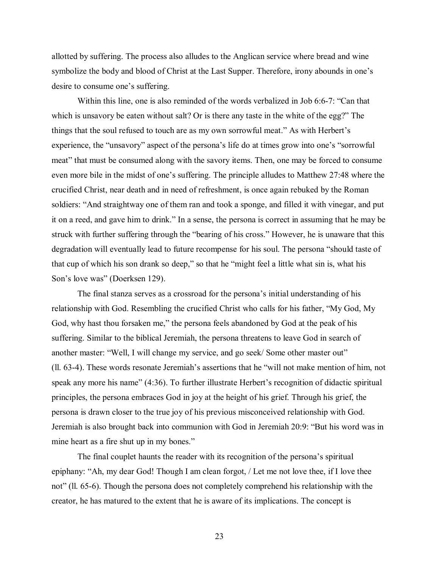allotted by suffering. The process also alludes to the Anglican service where bread and wine symbolize the body and blood of Christ at the Last Supper. Therefore, irony abounds in one's desire to consume one's suffering.

Within this line, one is also reminded of the words verbalized in Job  $6:6-7$ : "Can that which is unsavory be eaten without salt? Or is there any taste in the white of the egg?" The things that the soul refused to touch are as my own sorrowful meat." As with Herbert's experience, the "unsavory" aspect of the persona's life do at times grow into one's "sorrowful meat" that must be consumed along with the savory items. Then, one may be forced to consume even more bile in the midst of one's suffering. The principle alludes to Matthew 27:48 where the crucified Christ, near death and in need of refreshment, is once again rebuked by the Roman soldiers: "And straightway one of them ran and took a sponge, and filled it with vinegar, and put it on a reed, and gave him to drink." In a sense, the persona is correct in assuming that he may be struck with further suffering through the "bearing of his cross." However, he is unaware that this degradation will eventually lead to future recompense for his soul. The persona "should taste of that cup of which his son drank so deep," so that he "might feel a little what sin is, what his Son's love was" (Doerksen 129).

The final stanza serves as a crossroad for the persona's initial understanding of his relationship with God. Resembling the crucified Christ who calls for his father, "My God, My God, why hast thou forsaken me," the persona feels abandoned by God at the peak of his suffering. Similar to the biblical Jeremiah, the persona threatens to leave God in search of another master: "Well, I will change my service, and go seek/ Some other master out"  $(11. 63-4)$ . These words resonate Jeremiah's assertions that he "will not make mention of him, not speak any more his name"  $(4:36)$ . To further illustrate Herbert's recognition of didactic spiritual principles, the persona embraces God in joy at the height of his grief. Through his grief, the persona is drawn closer to the true joy of his previous misconceived relationship with God. Jeremiah is also brought back into communion with God in Jeremiah 20:9: "But his word was in mine heart as a fire shut up in my bones."

The final couplet haunts the reader with its recognition of the persona's spiritual epiphany: "Ah, my dear God! Though I am clean forgot, / Let me not love thee, if I love thee not" (ll. 65-6). Though the persona does not completely comprehend his relationship with the creator, he has matured to the extent that he is aware of its implications. The concept is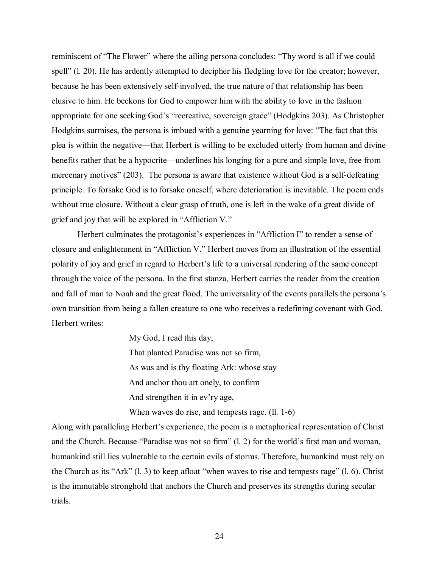reminiscent of "The Flower" where the ailing persona concludes: "Thy word is all if we could spell" (l. 20). He has ardently attempted to decipher his fledgling love for the creator; however, because he has been extensively self-involved, the true nature of that relationship has been elusive to him. He beckons for God to empower him with the ability to love in the fashion appropriate for one seeking God's "recreative, sovereign grace" (Hodgkins 203). As Christopher Hodgkins surmises, the persona is imbued with a genuine yearning for love: "The fact that this plea is within the negative—that Herbert is willing to be excluded utterly from human and divine benefits rather that be a hypocrite—underlines his longing for a pure and simple love, free from mercenary motives" (203). The persona is aware that existence without God is a self-defeating principle. To forsake God is to forsake oneself, where deterioration is inevitable. The poem ends without true closure. Without a clear grasp of truth, one is left in the wake of a great divide of grief and joy that will be explored in "Affliction  $V$ ."

Herbert culminates the protagonist's experiences in "Affliction I" to render a sense of closure and enlightenment in "Affliction V." Herbert moves from an illustration of the essential polarity of joy and grief in regard to Herbert's life to a universal rendering of the same concept through the voice of the persona. In the first stanza, Herbert carries the reader from the creation and fall of man to Noah and the great flood. The universality of the events parallels the persona's own transition from being a fallen creature to one who receives a redefining covenant with God. Herbert writes:

> My God, I read this day, That planted Paradise was not so firm, As was and is thy floating Ark: whose stay And anchor thou art onely, to confirm And strengthen it in ev'ry age, When waves do rise, and tempests rage. (1, 1-6)

Along with paralleling Herbert's experience, the poem is a metaphorical representation of Christ and the Church. Because "Paradise was not so firm"  $(1, 2)$  for the world's first man and woman, humankind still lies vulnerable to the certain evils of storms. Therefore, humankind must rely on the Church as its "Ark"  $(1, 3)$  to keep afloat "when waves to rise and tempests rage"  $(1, 6)$ . Christ is the immutable stronghold that anchors the Church and preserves its strengths during secular trials.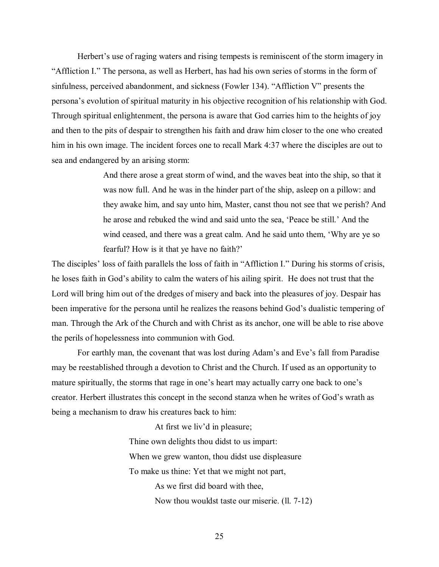Herbert's use of raging waters and rising tempests is reminiscent of the storm imagery in "Affliction I." The persona, as well as Herbert, has had his own series of storms in the form of sinfulness, perceived abandonment, and sickness (Fowler 134). "Affliction V" presents the personaís evolution of spiritual maturity in his objective recognition of his relationship with God. Through spiritual enlightenment, the persona is aware that God carries him to the heights of joy and then to the pits of despair to strengthen his faith and draw him closer to the one who created him in his own image. The incident forces one to recall Mark 4:37 where the disciples are out to sea and endangered by an arising storm:

> And there arose a great storm of wind, and the waves beat into the ship, so that it was now full. And he was in the hinder part of the ship, asleep on a pillow: and they awake him, and say unto him, Master, canst thou not see that we perish? And he arose and rebuked the wind and said unto the sea, 'Peace be still.' And the wind ceased, and there was a great calm. And he said unto them, 'Why are ye so fearful? How is it that ye have no faith?'

The disciples' loss of faith parallels the loss of faith in "Affliction I." During his storms of crisis, he loses faith in God's ability to calm the waters of his ailing spirit. He does not trust that the Lord will bring him out of the dredges of misery and back into the pleasures of joy. Despair has been imperative for the persona until he realizes the reasons behind God's dualistic tempering of man. Through the Ark of the Church and with Christ as its anchor, one will be able to rise above the perils of hopelessness into communion with God.

For earthly man, the covenant that was lost during Adam's and Eve's fall from Paradise may be reestablished through a devotion to Christ and the Church. If used as an opportunity to mature spiritually, the storms that rage in one's heart may actually carry one back to one's creator. Herbert illustrates this concept in the second stanza when he writes of God's wrath as being a mechanism to draw his creatures back to him:

> At first we liv'd in pleasure; Thine own delights thou didst to us impart: When we grew wanton, thou didst use displeasure To make us thine: Yet that we might not part, As we first did board with thee, Now thou wouldst taste our miserie. (ll. 7-12)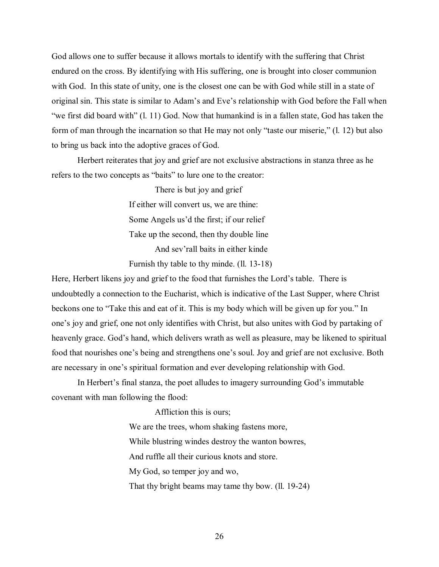God allows one to suffer because it allows mortals to identify with the suffering that Christ endured on the cross. By identifying with His suffering, one is brought into closer communion with God. In this state of unity, one is the closest one can be with God while still in a state of original sin. This state is similar to Adam's and Eve's relationship with God before the Fall when  $\degree$ we first did board with $\degree$  (l. 11) God. Now that humankind is in a fallen state, God has taken the form of man through the incarnation so that He may not only "taste our miserie,"  $(1, 12)$  but also to bring us back into the adoptive graces of God.

 Herbert reiterates that joy and grief are not exclusive abstractions in stanza three as he refers to the two concepts as "baits" to lure one to the creator:

> There is but joy and grief If either will convert us, we are thine: Some Angels us'd the first; if our relief Take up the second, then thy double line And sev'rall baits in either kinde

Furnish thy table to thy minde. (ll. 13-18)

Here, Herbert likens joy and grief to the food that furnishes the Lord's table. There is undoubtedly a connection to the Eucharist, which is indicative of the Last Supper, where Christ beckons one to "Take this and eat of it. This is my body which will be given up for you." In one's joy and grief, one not only identifies with Christ, but also unites with God by partaking of heavenly grace. God's hand, which delivers wrath as well as pleasure, may be likened to spiritual food that nourishes one's being and strengthens one's soul. Joy and grief are not exclusive. Both are necessary in one's spiritual formation and ever developing relationship with God.

In Herbert's final stanza, the poet alludes to imagery surrounding God's immutable covenant with man following the flood:

> Affliction this is ours; We are the trees, whom shaking fastens more, While blustring windes destroy the wanton bowres, And ruffle all their curious knots and store. My God, so temper joy and wo, That thy bright beams may tame thy bow. (ll. 19-24)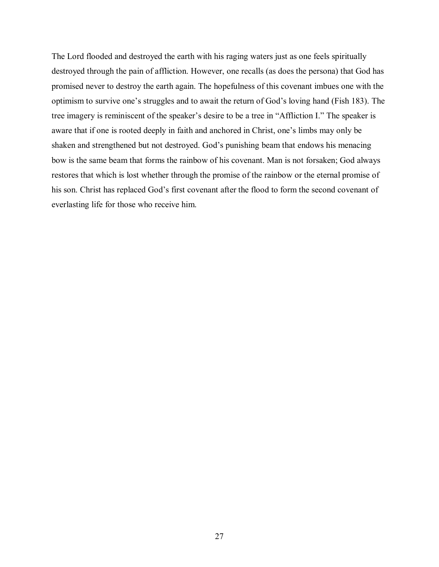The Lord flooded and destroyed the earth with his raging waters just as one feels spiritually destroyed through the pain of affliction. However, one recalls (as does the persona) that God has promised never to destroy the earth again. The hopefulness of this covenant imbues one with the optimism to survive one's struggles and to await the return of God's loving hand (Fish 183). The tree imagery is reminiscent of the speaker's desire to be a tree in "Affliction I." The speaker is aware that if one is rooted deeply in faith and anchored in Christ, one's limbs may only be shaken and strengthened but not destroyed. God's punishing beam that endows his menacing bow is the same beam that forms the rainbow of his covenant. Man is not forsaken; God always restores that which is lost whether through the promise of the rainbow or the eternal promise of his son. Christ has replaced God's first covenant after the flood to form the second covenant of everlasting life for those who receive him.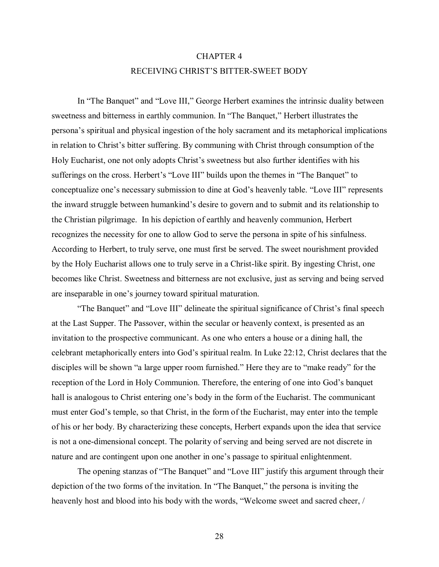## CHAPTER 4

## RECEIVING CHRIST'S BITTER-SWEET BODY

In "The Banquet" and "Love III," George Herbert examines the intrinsic duality between sweetness and bitterness in earthly communion. In "The Banquet," Herbert illustrates the personaís spiritual and physical ingestion of the holy sacrament and its metaphorical implications in relation to Christ's bitter suffering. By communing with Christ through consumption of the Holy Eucharist, one not only adopts Christ's sweetness but also further identifies with his sufferings on the cross. Herbert's "Love III" builds upon the themes in "The Banquet" to conceptualize one's necessary submission to dine at God's heavenly table. "Love III" represents the inward struggle between humankind's desire to govern and to submit and its relationship to the Christian pilgrimage. In his depiction of earthly and heavenly communion, Herbert recognizes the necessity for one to allow God to serve the persona in spite of his sinfulness. According to Herbert, to truly serve, one must first be served. The sweet nourishment provided by the Holy Eucharist allows one to truly serve in a Christ-like spirit. By ingesting Christ, one becomes like Christ. Sweetness and bitterness are not exclusive, just as serving and being served are inseparable in one's journey toward spiritual maturation.

"The Banquet" and "Love III" delineate the spiritual significance of Christ's final speech at the Last Supper. The Passover, within the secular or heavenly context, is presented as an invitation to the prospective communicant. As one who enters a house or a dining hall, the celebrant metaphorically enters into God's spiritual realm. In Luke 22:12, Christ declares that the disciples will be shown "a large upper room furnished." Here they are to "make ready" for the reception of the Lord in Holy Communion. Therefore, the entering of one into God's banquet hall is analogous to Christ entering one's body in the form of the Eucharist. The communicant must enter Godís temple, so that Christ, in the form of the Eucharist, may enter into the temple of his or her body. By characterizing these concepts, Herbert expands upon the idea that service is not a one-dimensional concept. The polarity of serving and being served are not discrete in nature and are contingent upon one another in one's passage to spiritual enlightenment.

The opening stanzas of "The Banquet" and "Love III" justify this argument through their depiction of the two forms of the invitation. In "The Banquet," the persona is inviting the heavenly host and blood into his body with the words, "Welcome sweet and sacred cheer, /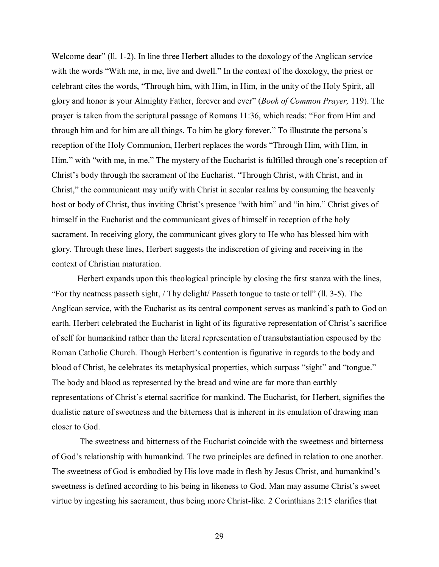Welcome dear" (Il. 1-2). In line three Herbert alludes to the doxology of the Anglican service with the words "With me, in me, live and dwell." In the context of the doxology, the priest or celebrant cites the words, "Through him, with Him, in Him, in the unity of the Holy Spirit, all glory and honor is your Almighty Father, forever and everî (*Book of Common Prayer,* 119). The prayer is taken from the scriptural passage of Romans 11:36, which reads: "For from Him and through him and for him are all things. To him be glory forever." To illustrate the persona's reception of the Holy Communion, Herbert replaces the words "Through Him, with Him, in Him," with "with me, in me." The mystery of the Eucharist is fulfilled through one's reception of Christ's body through the sacrament of the Eucharist. "Through Christ, with Christ, and in Christ," the communicant may unify with Christ in secular realms by consuming the heavenly host or body of Christ, thus inviting Christ's presence "with him" and "in him." Christ gives of himself in the Eucharist and the communicant gives of himself in reception of the holy sacrament. In receiving glory, the communicant gives glory to He who has blessed him with glory. Through these lines, Herbert suggests the indiscretion of giving and receiving in the context of Christian maturation.

Herbert expands upon this theological principle by closing the first stanza with the lines, ìFor thy neatness passeth sight, / Thy delight/ Passeth tongue to taste or tellî (ll. 3-5). The Anglican service, with the Eucharist as its central component serves as mankind's path to God on earth. Herbert celebrated the Eucharist in light of its figurative representation of Christ's sacrifice of self for humankind rather than the literal representation of transubstantiation espoused by the Roman Catholic Church. Though Herbert's contention is figurative in regards to the body and blood of Christ, he celebrates its metaphysical properties, which surpass "sight" and "tongue." The body and blood as represented by the bread and wine are far more than earthly representations of Christ's eternal sacrifice for mankind. The Eucharist, for Herbert, signifies the dualistic nature of sweetness and the bitterness that is inherent in its emulation of drawing man closer to God.

 The sweetness and bitterness of the Eucharist coincide with the sweetness and bitterness of God's relationship with humankind. The two principles are defined in relation to one another. The sweetness of God is embodied by His love made in flesh by Jesus Christ, and humankind's sweetness is defined according to his being in likeness to God. Man may assume Christ's sweet virtue by ingesting his sacrament, thus being more Christ-like. 2 Corinthians 2:15 clarifies that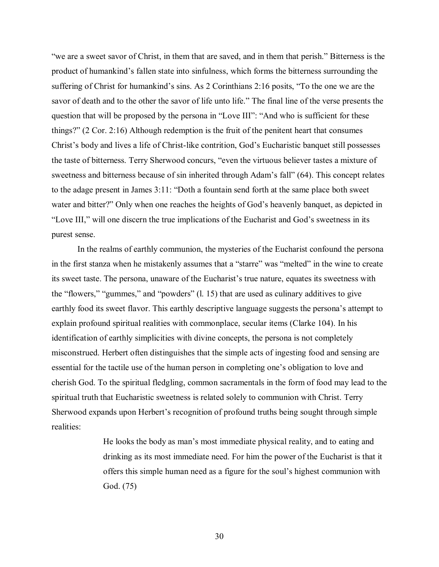ìwe are a sweet savor of Christ, in them that are saved, and in them that perish.î Bitterness is the product of humankind's fallen state into sinfulness, which forms the bitterness surrounding the suffering of Christ for humankind's sins. As 2 Corinthians 2:16 posits, "To the one we are the savor of death and to the other the savor of life unto life." The final line of the verse presents the question that will be proposed by the persona in "Love III": "And who is sufficient for these things?"  $(2 \text{ Cor. } 2:16)$  Although redemption is the fruit of the penitent heart that consumes Christ's body and lives a life of Christ-like contrition, God's Eucharistic banquet still possesses the taste of bitterness. Terry Sherwood concurs, "even the virtuous believer tastes a mixture of sweetness and bitterness because of sin inherited through Adam's fall" (64). This concept relates to the adage present in James  $3:11:$  "Doth a fountain send forth at the same place both sweet water and bitter?" Only when one reaches the heights of God's heavenly banquet, as depicted in "Love III," will one discern the true implications of the Eucharist and God's sweetness in its purest sense.

In the realms of earthly communion, the mysteries of the Eucharist confound the persona in the first stanza when he mistakenly assumes that a "starre" was "melted" in the wine to create its sweet taste. The persona, unaware of the Eucharist's true nature, equates its sweetness with the "flowers," "gummes," and "powders"  $(l. 15)$  that are used as culinary additives to give earthly food its sweet flavor. This earthly descriptive language suggests the persona's attempt to explain profound spiritual realities with commonplace, secular items (Clarke 104). In his identification of earthly simplicities with divine concepts, the persona is not completely misconstrued. Herbert often distinguishes that the simple acts of ingesting food and sensing are essential for the tactile use of the human person in completing one's obligation to love and cherish God. To the spiritual fledgling, common sacramentals in the form of food may lead to the spiritual truth that Eucharistic sweetness is related solely to communion with Christ. Terry Sherwood expands upon Herbert's recognition of profound truths being sought through simple realities:

> He looks the body as manís most immediate physical reality, and to eating and drinking as its most immediate need. For him the power of the Eucharist is that it offers this simple human need as a figure for the soul's highest communion with God. (75)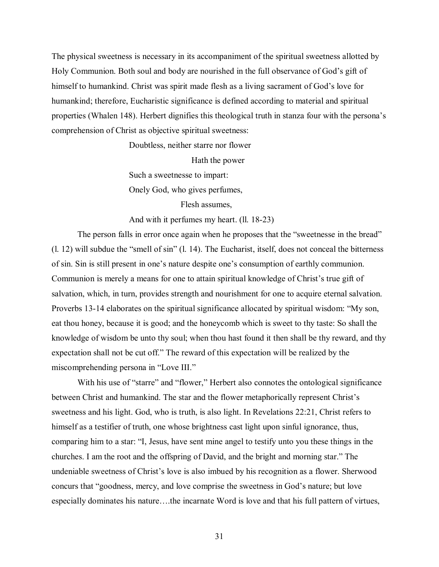The physical sweetness is necessary in its accompaniment of the spiritual sweetness allotted by Holy Communion. Both soul and body are nourished in the full observance of God's gift of himself to humankind. Christ was spirit made flesh as a living sacrament of God's love for humankind; therefore, Eucharistic significance is defined according to material and spiritual properties (Whalen 148). Herbert dignifies this theological truth in stanza four with the personaís comprehension of Christ as objective spiritual sweetness:

Doubtless, neither starre nor flower

Hath the power

Such a sweetnesse to impart:

Onely God, who gives perfumes,

Flesh assumes,

And with it perfumes my heart. (ll. 18-23)

The person falls in error once again when he proposes that the "sweetnesse in the bread"  $(1. 12)$  will subdue the "smell of sin"  $(1. 14)$ . The Eucharist, itself, does not conceal the bitterness of sin. Sin is still present in one's nature despite one's consumption of earthly communion. Communion is merely a means for one to attain spiritual knowledge of Christ's true gift of salvation, which, in turn, provides strength and nourishment for one to acquire eternal salvation. Proverbs 13-14 elaborates on the spiritual significance allocated by spiritual wisdom: "My son, eat thou honey, because it is good; and the honeycomb which is sweet to thy taste: So shall the knowledge of wisdom be unto thy soul; when thou hast found it then shall be thy reward, and thy expectation shall not be cut off." The reward of this expectation will be realized by the miscomprehending persona in "Love III."

With his use of "starre" and "flower," Herbert also connotes the ontological significance between Christ and humankind. The star and the flower metaphorically represent Christ's sweetness and his light. God, who is truth, is also light. In Revelations 22:21, Christ refers to himself as a testifier of truth, one whose brightness cast light upon sinful ignorance, thus, comparing him to a star: "I, Jesus, have sent mine angel to testify unto you these things in the churches. I am the root and the offspring of David, and the bright and morning star." The undeniable sweetness of Christ's love is also imbued by his recognition as a flower. Sherwood concurs that "goodness, mercy, and love comprise the sweetness in God's nature; but love especially dominates his nature....the incarnate Word is love and that his full pattern of virtues,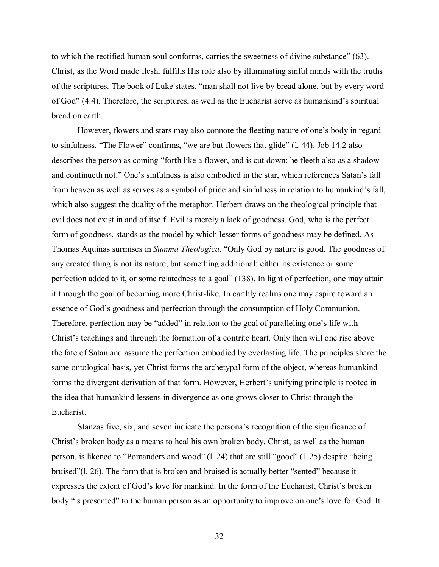to which the rectified human soul conforms, carries the sweetness of divine substance"  $(63)$ . Christ, as the Word made flesh, fulfills His role also by illuminating sinful minds with the truths of the scriptures. The book of Luke states, "man shall not live by bread alone, but by every word of God"  $(4:4)$ . Therefore, the scriptures, as well as the Eucharist serve as humankind's spiritual bread on earth.

However, flowers and stars may also connote the fleeting nature of one's body in regard to sinfulness. "The Flower" confirms, "we are but flowers that glide"  $(1. 44)$ . Job 14:2 also describes the person as coming "forth like a flower, and is cut down: he fleeth also as a shadow and continueth not." One's sinfulness is also embodied in the star, which references Satan's fall from heaven as well as serves as a symbol of pride and sinfulness in relation to humankind's fall, which also suggest the duality of the metaphor. Herbert draws on the theological principle that evil does not exist in and of itself. Evil is merely a lack of goodness. God, who is the perfect form of goodness, stands as the model by which lesser forms of goodness may be defined. As Thomas Aquinas surmises in *Summa Theologica*, "Only God by nature is good. The goodness of any created thing is not its nature, but something additional: either its existence or some perfection added to it, or some relatedness to a goal" (138). In light of perfection, one may attain it through the goal of becoming more Christ-like. In earthly realms one may aspire toward an essence of Godís goodness and perfection through the consumption of Holy Communion. Therefore, perfection may be "added" in relation to the goal of paralleling one's life with Christ's teachings and through the formation of a contrite heart. Only then will one rise above the fate of Satan and assume the perfection embodied by everlasting life. The principles share the same ontological basis, yet Christ forms the archetypal form of the object, whereas humankind forms the divergent derivation of that form. However, Herbert's unifying principle is rooted in the idea that humankind lessens in divergence as one grows closer to Christ through the Eucharist.

Stanzas five, six, and seven indicate the persona's recognition of the significance of Christ's broken body as a means to heal his own broken body. Christ, as well as the human person, is likened to "Pomanders and wood" (l. 24) that are still "good" (l. 25) despite "being bruised" $(1, 26)$ . The form that is broken and bruised is actually better "sented" because it expresses the extent of God's love for mankind. In the form of the Eucharist, Christ's broken body "is presented" to the human person as an opportunity to improve on one's love for God. It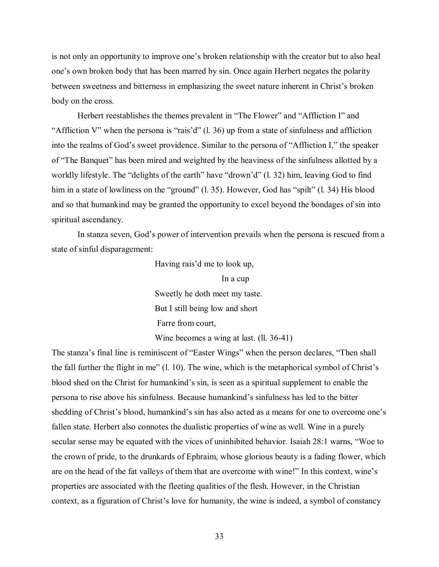is not only an opportunity to improve one's broken relationship with the creator but to also heal one's own broken body that has been marred by sin. Once again Herbert negates the polarity between sweetness and bitterness in emphasizing the sweet nature inherent in Christ's broken body on the cross.

Herbert reestablishes the themes prevalent in "The Flower" and "Affliction I" and "Affliction V" when the persona is "rais'd"  $(1. 36)$  up from a state of sinfulness and affliction into the realms of God's sweet providence. Similar to the persona of "Affliction I," the speaker of "The Banquet" has been mired and weighted by the heaviness of the sinfulness allotted by a worldly lifestyle. The "delights of the earth" have "drown'd" (l. 32) him, leaving God to find him in a state of lowliness on the "ground" (l. 35). However, God has "spilt" (l. 34) His blood and so that humankind may be granted the opportunity to excel beyond the bondages of sin into spiritual ascendancy.

In stanza seven, God's power of intervention prevails when the persona is rescued from a state of sinful disparagement:

Having rais'd me to look up,

In a cup

 Sweetly he doth meet my taste. But I still being low and short Farre from court,

Wine becomes a wing at last. (ll. 36-41)

The stanza's final line is reminiscent of "Easter Wings" when the person declares, "Then shall the fall further the flight in me"  $(1, 10)$ . The wine, which is the metaphorical symbol of Christ's blood shed on the Christ for humankind's sin, is seen as a spiritual supplement to enable the persona to rise above his sinfulness. Because humankind's sinfulness has led to the bitter shedding of Christ's blood, humankind's sin has also acted as a means for one to overcome one's fallen state. Herbert also connotes the dualistic properties of wine as well. Wine in a purely secular sense may be equated with the vices of uninhibited behavior. Isaiah 28:1 warns, "Woe to the crown of pride, to the drunkards of Ephraim, whose glorious beauty is a fading flower, which are on the head of the fat valleys of them that are overcome with wine!" In this context, wine's properties are associated with the fleeting qualities of the flesh. However, in the Christian context, as a figuration of Christ's love for humanity, the wine is indeed, a symbol of constancy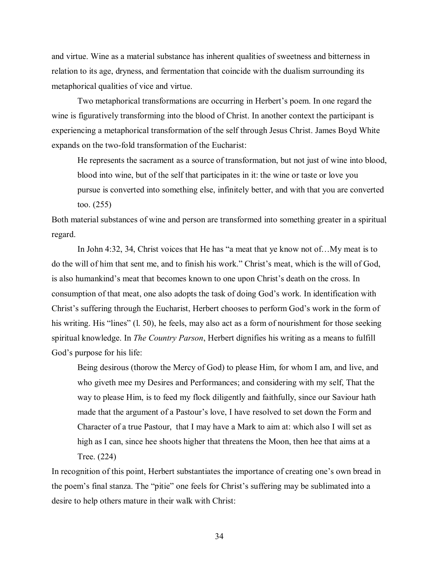and virtue. Wine as a material substance has inherent qualities of sweetness and bitterness in relation to its age, dryness, and fermentation that coincide with the dualism surrounding its metaphorical qualities of vice and virtue.

Two metaphorical transformations are occurring in Herbert's poem. In one regard the wine is figuratively transforming into the blood of Christ. In another context the participant is experiencing a metaphorical transformation of the self through Jesus Christ. James Boyd White expands on the two-fold transformation of the Eucharist:

 He represents the sacrament as a source of transformation, but not just of wine into blood, blood into wine, but of the self that participates in it: the wine or taste or love you pursue is converted into something else, infinitely better, and with that you are converted too. (255)

Both material substances of wine and person are transformed into something greater in a spiritual regard.

In John 4:32, 34, Christ voices that He has "a meat that ye know not of... My meat is to do the will of him that sent me, and to finish his work." Christ's meat, which is the will of God, is also humankind's meat that becomes known to one upon Christ's death on the cross. In consumption of that meat, one also adopts the task of doing God's work. In identification with Christ's suffering through the Eucharist, Herbert chooses to perform God's work in the form of his writing. His "lines"  $(1.50)$ , he feels, may also act as a form of nourishment for those seeking spiritual knowledge. In *The Country Parson*, Herbert dignifies his writing as a means to fulfill God's purpose for his life:

Being desirous (thorow the Mercy of God) to please Him, for whom I am, and live, and who giveth mee my Desires and Performances; and considering with my self, That the way to please Him, is to feed my flock diligently and faithfully, since our Saviour hath made that the argument of a Pastour's love, I have resolved to set down the Form and Character of a true Pastour, that I may have a Mark to aim at: which also I will set as high as I can, since hee shoots higher that threatens the Moon, then hee that aims at a Tree. (224)

In recognition of this point, Herbert substantiates the importance of creating one's own bread in the poem's final stanza. The "pitie" one feels for Christ's suffering may be sublimated into a desire to help others mature in their walk with Christ: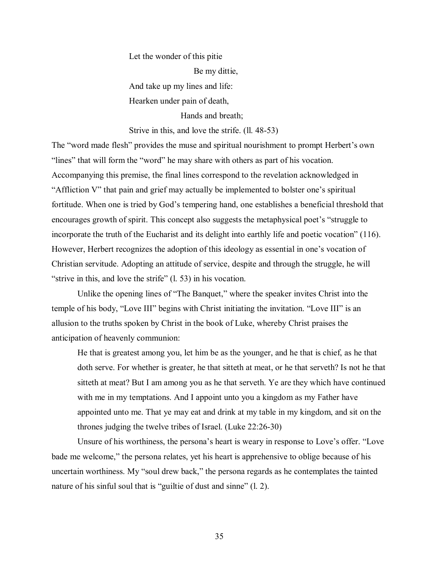Let the wonder of this pitie Be my dittie, And take up my lines and life: Hearken under pain of death,

Hands and breath;

Strive in this, and love the strife. (ll. 48-53)

The "word made flesh" provides the muse and spiritual nourishment to prompt Herbert's own "lines" that will form the "word" he may share with others as part of his vocation. Accompanying this premise, the final lines correspond to the revelation acknowledged in "Affliction V" that pain and grief may actually be implemented to bolster one's spiritual fortitude. When one is tried by God's tempering hand, one establishes a beneficial threshold that encourages growth of spirit. This concept also suggests the metaphysical poet's "struggle to incorporate the truth of the Eucharist and its delight into earthly life and poetic vocation" (116). However, Herbert recognizes the adoption of this ideology as essential in one's vocation of Christian servitude. Adopting an attitude of service, despite and through the struggle, he will "strive in this, and love the strife"  $(1, 53)$  in his vocation.

Unlike the opening lines of "The Banquet," where the speaker invites Christ into the temple of his body, "Love III" begins with Christ initiating the invitation. "Love III" is an allusion to the truths spoken by Christ in the book of Luke, whereby Christ praises the anticipation of heavenly communion:

He that is greatest among you, let him be as the younger, and he that is chief, as he that doth serve. For whether is greater, he that sitteth at meat, or he that serveth? Is not he that sitteth at meat? But I am among you as he that serveth. Ye are they which have continued with me in my temptations. And I appoint unto you a kingdom as my Father have appointed unto me. That ye may eat and drink at my table in my kingdom, and sit on the thrones judging the twelve tribes of Israel. (Luke 22:26-30)

Unsure of his worthiness, the persona's heart is weary in response to Love's offer. "Love" bade me welcome," the persona relates, yet his heart is apprehensive to oblige because of his uncertain worthiness. My "soul drew back," the persona regards as he contemplates the tainted nature of his sinful soul that is "guiltie of dust and sinne"  $(1, 2)$ .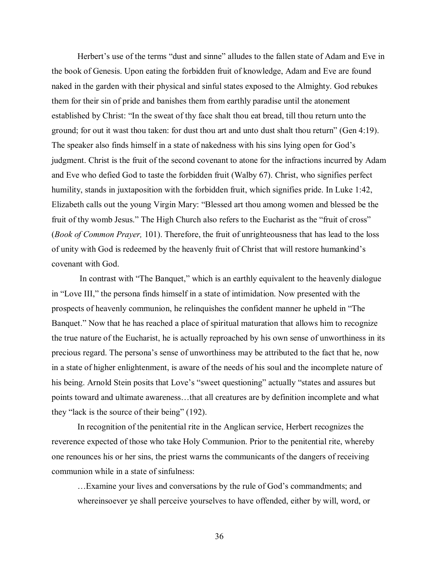Herbert's use of the terms "dust and sinne" alludes to the fallen state of Adam and Eve in the book of Genesis. Upon eating the forbidden fruit of knowledge, Adam and Eve are found naked in the garden with their physical and sinful states exposed to the Almighty. God rebukes them for their sin of pride and banishes them from earthly paradise until the atonement established by Christ: "In the sweat of thy face shalt thou eat bread, till thou return unto the ground; for out it wast thou taken: for dust thou art and unto dust shalt thou return" (Gen 4:19). The speaker also finds himself in a state of nakedness with his sins lying open for God's judgment. Christ is the fruit of the second covenant to atone for the infractions incurred by Adam and Eve who defied God to taste the forbidden fruit (Walby 67). Christ, who signifies perfect humility, stands in juxtaposition with the forbidden fruit, which signifies pride. In Luke 1:42, Elizabeth calls out the young Virgin Mary: "Blessed art thou among women and blessed be the fruit of thy womb Jesus." The High Church also refers to the Eucharist as the "fruit of cross" (*Book of Common Prayer,* 101). Therefore, the fruit of unrighteousness that has lead to the loss of unity with God is redeemed by the heavenly fruit of Christ that will restore humankind's covenant with God.

In contrast with "The Banquet," which is an earthly equivalent to the heavenly dialogue in "Love III," the persona finds himself in a state of intimidation. Now presented with the prospects of heavenly communion, he relinquishes the confident manner he upheld in "The Banquet." Now that he has reached a place of spiritual maturation that allows him to recognize the true nature of the Eucharist, he is actually reproached by his own sense of unworthiness in its precious regard. The persona's sense of unworthiness may be attributed to the fact that he, now in a state of higher enlightenment, is aware of the needs of his soul and the incomplete nature of his being. Arnold Stein posits that Love's "sweet questioning" actually "states and assures but points toward and ultimate awareness...that all creatures are by definition incomplete and what they "lack is the source of their being"  $(192)$ .

In recognition of the penitential rite in the Anglican service, Herbert recognizes the reverence expected of those who take Holy Communion. Prior to the penitential rite, whereby one renounces his or her sins, the priest warns the communicants of the dangers of receiving communion while in a state of sinfulness:

... Examine your lives and conversations by the rule of God's commandments; and whereinsoever ye shall perceive yourselves to have offended, either by will, word, or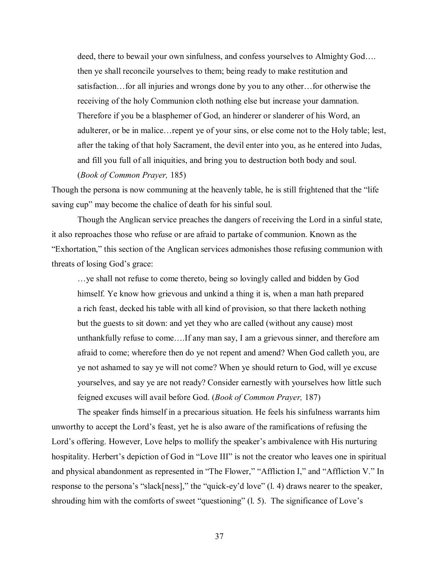deed, there to bewail your own sinfulness, and confess yourselves to Almighty God.... then ye shall reconcile yourselves to them; being ready to make restitution and satisfaction... for all injuries and wrongs done by you to any other... for otherwise the receiving of the holy Communion cloth nothing else but increase your damnation. Therefore if you be a blasphemer of God, an hinderer or slanderer of his Word, an adulterer, or be in malice... repent ye of your sins, or else come not to the Holy table; lest, after the taking of that holy Sacrament, the devil enter into you, as he entered into Judas, and fill you full of all iniquities, and bring you to destruction both body and soul. (*Book of Common Prayer,* 185)

Though the persona is now communing at the heavenly table, he is still frightened that the "life" saving cup" may become the chalice of death for his sinful soul.

 Though the Anglican service preaches the dangers of receiving the Lord in a sinful state, it also reproaches those who refuse or are afraid to partake of communion. Known as the ìExhortation,î this section of the Anglican services admonishes those refusing communion with threats of losing God's grace:

...ye shall not refuse to come thereto, being so lovingly called and bidden by God himself. Ye know how grievous and unkind a thing it is, when a man hath prepared a rich feast, decked his table with all kind of provision, so that there lacketh nothing but the guests to sit down: and yet they who are called (without any cause) most unthankfully refuse to come....If any man say, I am a grievous sinner, and therefore am afraid to come; wherefore then do ye not repent and amend? When God calleth you, are ye not ashamed to say ye will not come? When ye should return to God, will ye excuse yourselves, and say ye are not ready? Consider earnestly with yourselves how little such feigned excuses will avail before God. (*Book of Common Prayer,* 187)

The speaker finds himself in a precarious situation. He feels his sinfulness warrants him unworthy to accept the Lord's feast, yet he is also aware of the ramifications of refusing the Lord's offering. However, Love helps to mollify the speaker's ambivalence with His nurturing hospitality. Herbert's depiction of God in "Love III" is not the creator who leaves one in spiritual and physical abandonment as represented in "The Flower," "Affliction I," and "Affliction V." In response to the persona's "slack[ness]," the "quick-ey'd love"  $(l. 4)$  draws nearer to the speaker, shrouding him with the comforts of sweet "questioning"  $(1, 5)$ . The significance of Love's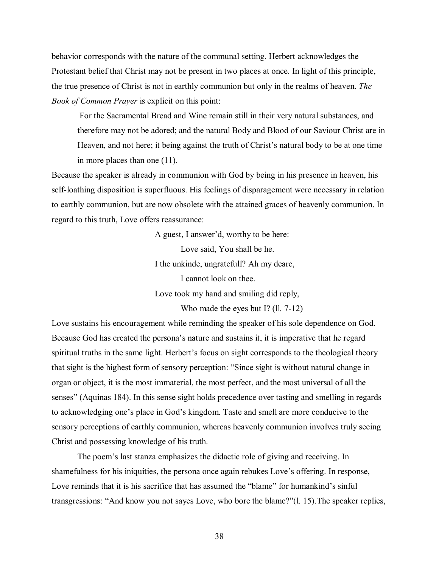behavior corresponds with the nature of the communal setting. Herbert acknowledges the Protestant belief that Christ may not be present in two places at once. In light of this principle, the true presence of Christ is not in earthly communion but only in the realms of heaven. *The Book of Common Prayer* is explicit on this point:

For the Sacramental Bread and Wine remain still in their very natural substances, and therefore may not be adored; and the natural Body and Blood of our Saviour Christ are in Heaven, and not here; it being against the truth of Christ's natural body to be at one time in more places than one (11).

Because the speaker is already in communion with God by being in his presence in heaven, his self-loathing disposition is superfluous. His feelings of disparagement were necessary in relation to earthly communion, but are now obsolete with the attained graces of heavenly communion. In regard to this truth, Love offers reassurance:

> A guest, I answer'd, worthy to be here: Love said, You shall be he. I the unkinde, ungratefull? Ah my deare, I cannot look on thee. Love took my hand and smiling did reply,

> > Who made the eyes but I? (ll. 7-12)

Love sustains his encouragement while reminding the speaker of his sole dependence on God. Because God has created the persona's nature and sustains it, it is imperative that he regard spiritual truths in the same light. Herbert's focus on sight corresponds to the theological theory that sight is the highest form of sensory perception: "Since sight is without natural change in organ or object, it is the most immaterial, the most perfect, and the most universal of all the senses" (Aquinas 184). In this sense sight holds precedence over tasting and smelling in regards to acknowledging one's place in God's kingdom. Taste and smell are more conducive to the sensory perceptions of earthly communion, whereas heavenly communion involves truly seeing Christ and possessing knowledge of his truth.

The poem's last stanza emphasizes the didactic role of giving and receiving. In shamefulness for his iniquities, the persona once again rebukes Love's offering. In response, Love reminds that it is his sacrifice that has assumed the "blame" for humankind's sinful transgressions: "And know you not sayes Love, who bore the blame?"(l. 15). The speaker replies,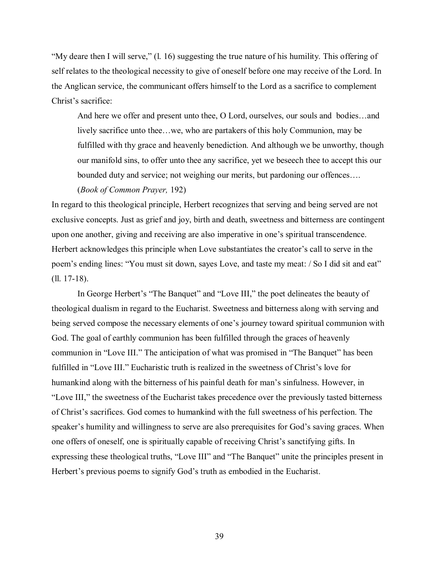$Mv$  deare then I will serve," (1, 16) suggesting the true nature of his humility. This offering of self relates to the theological necessity to give of oneself before one may receive of the Lord. In the Anglican service, the communicant offers himself to the Lord as a sacrifice to complement Christ's sacrifice:

And here we offer and present unto thee, O Lord, ourselves, our souls and bodies...and lively sacrifice unto thee...we, who are partakers of this holy Communion, may be fulfilled with thy grace and heavenly benediction. And although we be unworthy, though our manifold sins, to offer unto thee any sacrifice, yet we beseech thee to accept this our bounded duty and service; not weighing our merits, but pardoning our offences....

## (*Book of Common Prayer,* 192)

In regard to this theological principle, Herbert recognizes that serving and being served are not exclusive concepts. Just as grief and joy, birth and death, sweetness and bitterness are contingent upon one another, giving and receiving are also imperative in one's spiritual transcendence. Herbert acknowledges this principle when Love substantiates the creator's call to serve in the poem's ending lines: "You must sit down, sayes Love, and taste my meat: / So I did sit and eat" (ll. 17-18).

In George Herbert's "The Banquet" and "Love III," the poet delineates the beauty of theological dualism in regard to the Eucharist. Sweetness and bitterness along with serving and being served compose the necessary elements of one's journey toward spiritual communion with God. The goal of earthly communion has been fulfilled through the graces of heavenly communion in "Love III." The anticipation of what was promised in "The Banquet" has been fulfilled in "Love III." Eucharistic truth is realized in the sweetness of Christ's love for humankind along with the bitterness of his painful death for man's sinfulness. However, in ìLove III,î the sweetness of the Eucharist takes precedence over the previously tasted bitterness of Christís sacrifices. God comes to humankind with the full sweetness of his perfection. The speaker's humility and willingness to serve are also prerequisites for God's saving graces. When one offers of oneself, one is spiritually capable of receiving Christ's sanctifying gifts. In expressing these theological truths, "Love III" and "The Banquet" unite the principles present in Herbert's previous poems to signify God's truth as embodied in the Eucharist.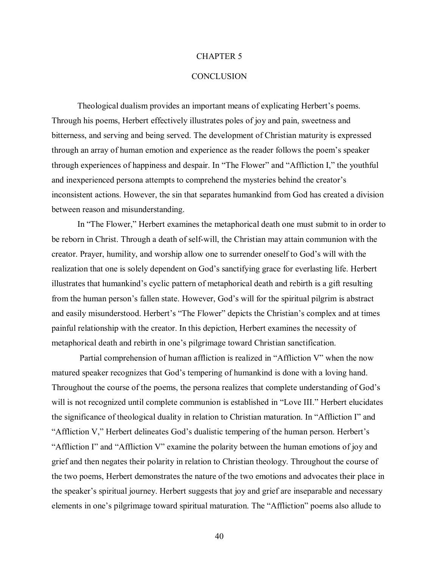#### CHAPTER 5

### **CONCLUSION**

Theological dualism provides an important means of explicating Herbert's poems. Through his poems, Herbert effectively illustrates poles of joy and pain, sweetness and bitterness, and serving and being served. The development of Christian maturity is expressed through an array of human emotion and experience as the reader follows the poemís speaker through experiences of happiness and despair. In "The Flower" and "Affliction I," the youthful and inexperienced persona attempts to comprehend the mysteries behind the creator's inconsistent actions. However, the sin that separates humankind from God has created a division between reason and misunderstanding.

In "The Flower," Herbert examines the metaphorical death one must submit to in order to be reborn in Christ. Through a death of self-will, the Christian may attain communion with the creator. Prayer, humility, and worship allow one to surrender oneself to God's will with the realization that one is solely dependent on God's sanctifying grace for everlasting life. Herbert illustrates that humankind's cyclic pattern of metaphorical death and rebirth is a gift resulting from the human person's fallen state. However, God's will for the spiritual pilgrim is abstract and easily misunderstood. Herbert's "The Flower" depicts the Christian's complex and at times painful relationship with the creator. In this depiction, Herbert examines the necessity of metaphorical death and rebirth in one's pilgrimage toward Christian sanctification.

Partial comprehension of human affliction is realized in "Affliction V" when the now matured speaker recognizes that God's tempering of humankind is done with a loving hand. Throughout the course of the poems, the persona realizes that complete understanding of God's will is not recognized until complete communion is established in "Love III." Herbert elucidates the significance of theological duality in relation to Christian maturation. In "Affliction I" and "Affliction V," Herbert delineates God's dualistic tempering of the human person. Herbert's "Affliction I" and "Affliction V" examine the polarity between the human emotions of joy and grief and then negates their polarity in relation to Christian theology. Throughout the course of the two poems, Herbert demonstrates the nature of the two emotions and advocates their place in the speaker's spiritual journey. Herbert suggests that joy and grief are inseparable and necessary elements in one's pilgrimage toward spiritual maturation. The "Affliction" poems also allude to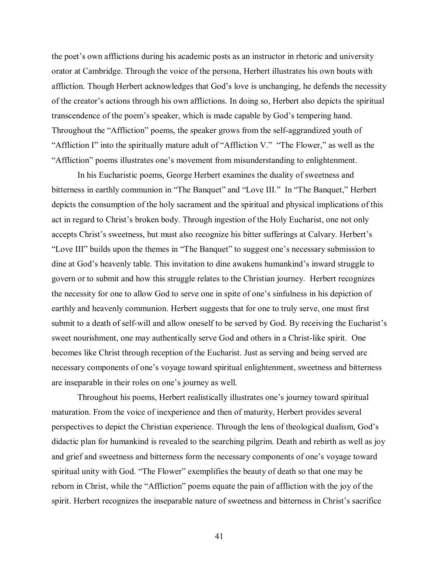the poet's own afflictions during his academic posts as an instructor in rhetoric and university orator at Cambridge. Through the voice of the persona, Herbert illustrates his own bouts with affliction. Though Herbert acknowledges that God's love is unchanging, he defends the necessity of the creator's actions through his own afflictions. In doing so, Herbert also depicts the spiritual transcendence of the poem's speaker, which is made capable by God's tempering hand. Throughout the "Affliction" poems, the speaker grows from the self-aggrandized youth of "Affliction I" into the spiritually mature adult of "Affliction V." "The Flower," as well as the ìAfflictionî poems illustrates oneís movement from misunderstanding to enlightenment.

In his Eucharistic poems, George Herbert examines the duality of sweetness and bitterness in earthly communion in "The Banquet" and "Love III." In "The Banquet," Herbert depicts the consumption of the holy sacrament and the spiritual and physical implications of this act in regard to Christ's broken body. Through ingestion of the Holy Eucharist, one not only accepts Christ's sweetness, but must also recognize his bitter sufferings at Calvary. Herbert's "Love III" builds upon the themes in "The Banquet" to suggest one's necessary submission to dine at God's heavenly table. This invitation to dine awakens humankind's inward struggle to govern or to submit and how this struggle relates to the Christian journey. Herbert recognizes the necessity for one to allow God to serve one in spite of one's sinfulness in his depiction of earthly and heavenly communion. Herbert suggests that for one to truly serve, one must first submit to a death of self-will and allow oneself to be served by God. By receiving the Eucharist's sweet nourishment, one may authentically serve God and others in a Christ-like spirit. One becomes like Christ through reception of the Eucharist. Just as serving and being served are necessary components of one's voyage toward spiritual enlightenment, sweetness and bitterness are inseparable in their roles on one's journey as well.

Throughout his poems, Herbert realistically illustrates one's journey toward spiritual maturation. From the voice of inexperience and then of maturity, Herbert provides several perspectives to depict the Christian experience. Through the lens of theological dualism, God's didactic plan for humankind is revealed to the searching pilgrim. Death and rebirth as well as joy and grief and sweetness and bitterness form the necessary components of one's voyage toward spiritual unity with God. "The Flower" exemplifies the beauty of death so that one may be reborn in Christ, while the "Affliction" poems equate the pain of affliction with the joy of the spirit. Herbert recognizes the inseparable nature of sweetness and bitterness in Christ's sacrifice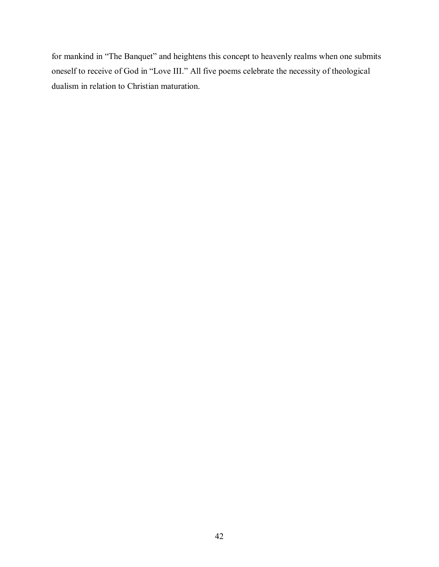for mankind in "The Banquet" and heightens this concept to heavenly realms when one submits oneself to receive of God in "Love III." All five poems celebrate the necessity of theological dualism in relation to Christian maturation.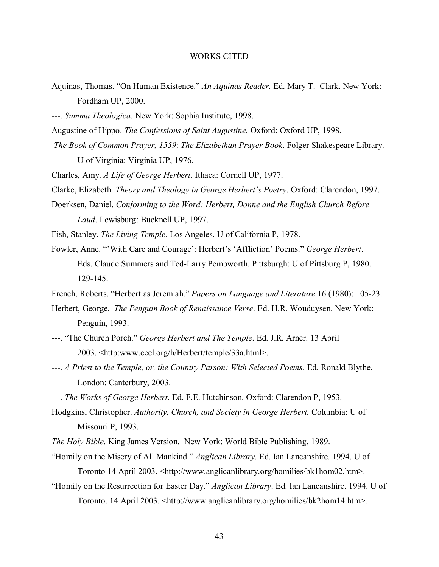#### WORKS CITED

- Aquinas, Thomas. "On Human Existence." An Aquinas Reader. Ed. Mary T. Clark. New York: Fordham UP, 2000.
- ---. *Summa Theologica*. New York: Sophia Institute, 1998.
- Augustine of Hippo. *The Confessions of Saint Augustine.* Oxford: Oxford UP, 1998.
- *The Book of Common Prayer, 1559*: *The Elizabethan Prayer Book*. Folger Shakespeare Library. U of Virginia: Virginia UP, 1976.

Charles, Amy. *A Life of George Herbert*. Ithaca: Cornell UP, 1977.

- Clarke, Elizabeth. *Theory and Theology in George Herbert's Poetry*. Oxford: Clarendon, 1997.
- Doerksen, Daniel. *Conforming to the Word: Herbert, Donne and the English Church Before Laud*. Lewisburg: Bucknell UP, 1997.
- Fish, Stanley. *The Living Temple.* Los Angeles. U of California P, 1978.
- Fowler, Anne. "'With Care and Courage': Herbert's 'Affliction' Poems." *George Herbert*. Eds. Claude Summers and Ted-Larry Pembworth. Pittsburgh: U of Pittsburg P, 1980. 129-145.
- French, Roberts. "Herbert as Jeremiah." *Papers on Language and Literature* 16 (1980): 105-23.
- Herbert, George. *The Penguin Book of Renaissance Verse*. Ed. H.R. Wouduysen. New York: Penguin, 1993.
- ---. "The Church Porch." *George Herbert and The Temple*. Ed. J.R. Arner. 13 April 2003. <http:www.ccel.org/h/Herbert/temple/33a.html>.
- ---. *A Priest to the Temple, or, the Country Parson: With Selected Poems*. Ed. Ronald Blythe. London: Canterbury, 2003.
- ---. *The Works of George Herbert*. Ed. F.E. Hutchinson. Oxford: Clarendon P, 1953.
- Hodgkins, Christopher. *Authority, Church, and Society in George Herbert.* Columbia: U of Missouri P, 1993.
- *The Holy Bible*. King James Version. New York: World Bible Publishing, 1989.
- "Homily on the Misery of All Mankind." *Anglican Library*. Ed. Ian Lancanshire. 1994. U of Toronto 14 April 2003. <http://www.anglicanlibrary.org/homilies/bk1hom02.htm>.
- ìHomily on the Resurrection for Easter Day.î *Anglican Library*. Ed. Ian Lancanshire. 1994. U of Toronto. 14 April 2003. <http://www.anglicanlibrary.org/homilies/bk2hom14.htm>.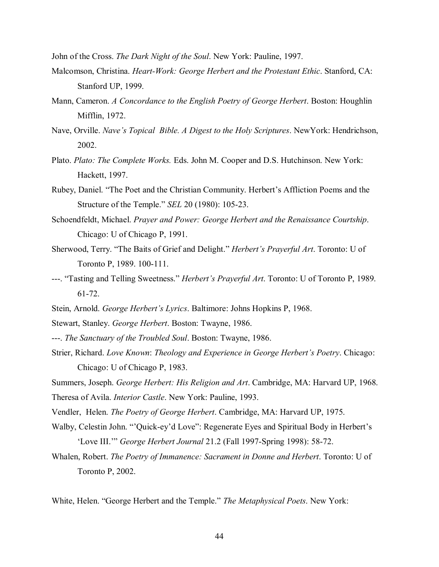John of the Cross. *The Dark Night of the Soul*. New York: Pauline, 1997.

- Malcomson, Christina. *Heart-Work: George Herbert and the Protestant Ethic*. Stanford, CA: Stanford UP, 1999.
- Mann, Cameron. *A Concordance to the English Poetry of George Herbert*. Boston: Houghlin Mifflin, 1972.
- Nave, Orville. *Naveís Topical Bible. A Digest to the Holy Scriptures*. NewYork: Hendrichson, 2002.
- Plato. *Plato: The Complete Works.* Eds. John M. Cooper and D.S. Hutchinson. New York: Hackett, 1997.
- Rubey, Daniel. "The Poet and the Christian Community. Herbert's Affliction Poems and the Structure of the Temple.î *SEL* 20 (1980): 105-23.
- Schoendfeldt, Michael. *Prayer and Power: George Herbert and the Renaissance Courtship*. Chicago: U of Chicago P, 1991.
- Sherwood, Terry. "The Baits of Grief and Delight." *Herbert's Prayerful Art*. Toronto: U of Toronto P, 1989. 100-111.
- ---. "Tasting and Telling Sweetness." *Herbert's Prayerful Art*. Toronto: U of Toronto P, 1989. 61-72.
- Stein, Arnold. *George Herbert's Lyrics*. Baltimore: Johns Hopkins P, 1968.
- Stewart, Stanley. *George Herbert*. Boston: Twayne, 1986.
- ---. *The Sanctuary of the Troubled Soul*. Boston: Twayne, 1986.
- Strier, Richard. *Love Known: Theology and Experience in George Herbert's Poetry.* Chicago: Chicago: U of Chicago P, 1983.
- Summers, Joseph. *George Herbert: His Religion and Art*. Cambridge, MA: Harvard UP, 1968.

Theresa of Avila. *Interior Castle*. New York: Pauline, 1993.

- Vendler, Helen. *The Poetry of George Herbert*. Cambridge, MA: Harvard UP, 1975.
- Walby, Celestin John. "'Quick-ey'd Love": Regenerate Eyes and Spiritual Body in Herbert's ëLove III.íî *George Herbert Journal* 21.2 (Fall 1997-Spring 1998): 58-72.
- Whalen, Robert. *The Poetry of Immanence: Sacrament in Donne and Herbert*. Toronto: U of Toronto P, 2002.

White, Helen. "George Herbert and the Temple." *The Metaphysical Poets*. New York: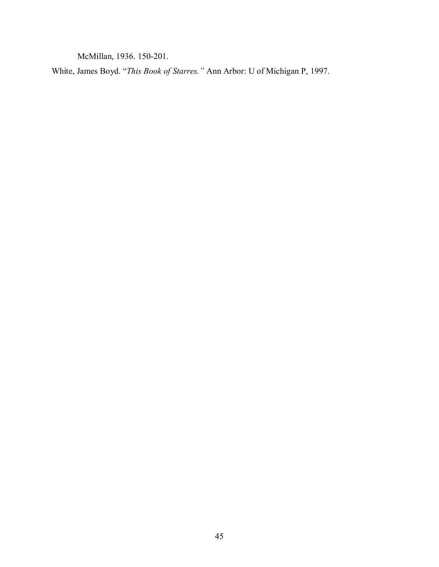McMillan, 1936. 150-201.

White, James Boyd. "This Book of Starres." Ann Arbor: U of Michigan P, 1997.